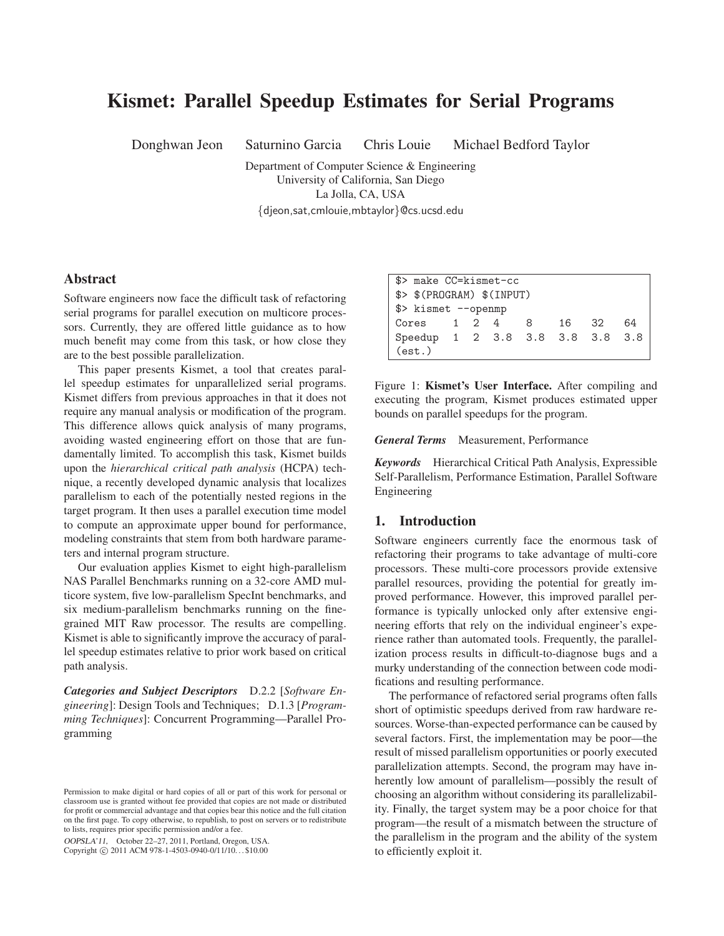# **Kismet: Parallel Speedup Estimates for Serial Programs**

Donghwan Jeon Saturnino Garcia Chris Louie Michael Bedford Taylor

Department of Computer Science & Engineering University of California, San Diego La Jolla, CA, USA

{djeon,sat,cmlouie,mbtaylor}@cs.ucsd.edu

# **Abstract**

Software engineers now face the difficult task of refactoring serial programs for parallel execution on multicore processors. Currently, they are offered little guidance as to how much benefit may come from this task, or how close they are to the best possible parallelization.

This paper presents Kismet, a tool that creates parallel speedup estimates for unparallelized serial programs. Kismet differs from previous approaches in that it does not require any manual analysis or modification of the program. This difference allows quick analysis of many programs, avoiding wasted engineering effort on those that are fundamentally limited. To accomplish this task, Kismet builds upon the *hierarchical critical path analysis* (HCPA) technique, a recently developed dynamic analysis that localizes parallelism to each of the potentially nested regions in the target program. It then uses a parallel execution time model to compute an approximate upper bound for performance, modeling constraints that stem from both hardware parameters and internal program structure.

Our evaluation applies Kismet to eight high-parallelism NAS Parallel Benchmarks running on a 32-core AMD multicore system, five low-parallelism SpecInt benchmarks, and six medium-parallelism benchmarks running on the finegrained MIT Raw processor. The results are compelling. Kismet is able to significantly improve the accuracy of parallel speedup estimates relative to prior work based on critical path analysis.

*Categories and Subject Descriptors* D.2.2 [*Software Engineering*]: Design Tools and Techniques; D.1.3 [*Programming Techniques*]: Concurrent Programming—Parallel Programming

OOPSLA'11, October 22–27, 2011, Portland, Oregon, USA. Copyright © 2011 ACM 978-1-4503-0940-0/11/10... \$10.00

| \$> make CC=kismet-cc          |  |  |       |                         |    |      |    |
|--------------------------------|--|--|-------|-------------------------|----|------|----|
| $\$$ > $$(PROGRAM)$ $$(INPUT)$ |  |  |       |                         |    |      |    |
| \$> kismet --openmp            |  |  |       |                         |    |      |    |
| Cores                          |  |  | 1 2 4 | 8 <sup>8</sup>          | 16 | - 32 | 64 |
| Speedup                        |  |  |       | 1 2 3.8 3.8 3.8 3.8 3.8 |    |      |    |
| (est.)                         |  |  |       |                         |    |      |    |

Figure 1: **Kismet's User Interface.** After compiling and executing the program, Kismet produces estimated upper bounds on parallel speedups for the program.

*General Terms* Measurement, Performance

*Keywords* Hierarchical Critical Path Analysis, Expressible Self-Parallelism, Performance Estimation, Parallel Software Engineering

# **1. Introduction**

Software engineers currently face the enormous task of refactoring their programs to take advantage of multi-core processors. These multi-core processors provide extensive parallel resources, providing the potential for greatly improved performance. However, this improved parallel performance is typically unlocked only after extensive engineering efforts that rely on the individual engineer's experience rather than automated tools. Frequently, the parallelization process results in difficult-to-diagnose bugs and a murky understanding of the connection between code modifications and resulting performance.

The performance of refactored serial programs often falls short of optimistic speedups derived from raw hardware resources. Worse-than-expected performance can be caused by several factors. First, the implementation may be poor—the result of missed parallelism opportunities or poorly executed parallelization attempts. Second, the program may have inherently low amount of parallelism—possibly the result of choosing an algorithm without considering its parallelizability. Finally, the target system may be a poor choice for that program—the result of a mismatch between the structure of the parallelism in the program and the ability of the system to efficiently exploit it.

Permission to make digital or hard copies of all or part of this work for personal or classroom use is granted without fee provided that copies are not made or distributed for profit or commercial advantage and that copies bear this notice and the full citation on the first page. To copy otherwise, to republish, to post on servers or to redistribute to lists, requires prior specific permission and/or a fee.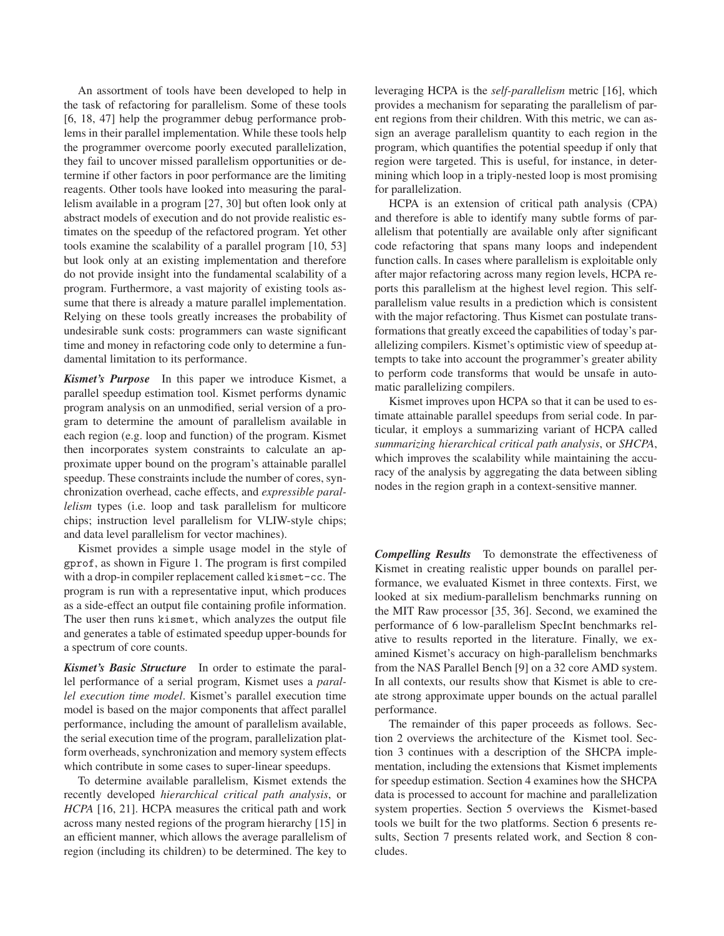An assortment of tools have been developed to help in the task of refactoring for parallelism. Some of these tools [6, 18, 47] help the programmer debug performance problems in their parallel implementation. While these tools help the programmer overcome poorly executed parallelization, they fail to uncover missed parallelism opportunities or determine if other factors in poor performance are the limiting reagents. Other tools have looked into measuring the parallelism available in a program [27, 30] but often look only at abstract models of execution and do not provide realistic estimates on the speedup of the refactored program. Yet other tools examine the scalability of a parallel program [10, 53] but look only at an existing implementation and therefore do not provide insight into the fundamental scalability of a program. Furthermore, a vast majority of existing tools assume that there is already a mature parallel implementation. Relying on these tools greatly increases the probability of undesirable sunk costs: programmers can waste significant time and money in refactoring code only to determine a fundamental limitation to its performance.

*Kismet's Purpose* In this paper we introduce Kismet, a parallel speedup estimation tool. Kismet performs dynamic program analysis on an unmodified, serial version of a program to determine the amount of parallelism available in each region (e.g. loop and function) of the program. Kismet then incorporates system constraints to calculate an approximate upper bound on the program's attainable parallel speedup. These constraints include the number of cores, synchronization overhead, cache effects, and *expressible parallelism* types (i.e. loop and task parallelism for multicore chips; instruction level parallelism for VLIW-style chips; and data level parallelism for vector machines).

Kismet provides a simple usage model in the style of gprof, as shown in Figure 1. The program is first compiled with a drop-in compiler replacement called kismet-cc. The program is run with a representative input, which produces as a side-effect an output file containing profile information. The user then runs kismet, which analyzes the output file and generates a table of estimated speedup upper-bounds for a spectrum of core counts.

*Kismet's Basic Structure* In order to estimate the parallel performance of a serial program, Kismet uses a *parallel execution time model*. Kismet's parallel execution time model is based on the major components that affect parallel performance, including the amount of parallelism available, the serial execution time of the program, parallelization platform overheads, synchronization and memory system effects which contribute in some cases to super-linear speedups.

To determine available parallelism, Kismet extends the recently developed *hierarchical critical path analysis*, or *HCPA* [16, 21]. HCPA measures the critical path and work across many nested regions of the program hierarchy [15] in an efficient manner, which allows the average parallelism of region (including its children) to be determined. The key to leveraging HCPA is the *self-parallelism* metric [16], which provides a mechanism for separating the parallelism of parent regions from their children. With this metric, we can assign an average parallelism quantity to each region in the program, which quantifies the potential speedup if only that region were targeted. This is useful, for instance, in determining which loop in a triply-nested loop is most promising for parallelization.

HCPA is an extension of critical path analysis (CPA) and therefore is able to identify many subtle forms of parallelism that potentially are available only after significant code refactoring that spans many loops and independent function calls. In cases where parallelism is exploitable only after major refactoring across many region levels, HCPA reports this parallelism at the highest level region. This selfparallelism value results in a prediction which is consistent with the major refactoring. Thus Kismet can postulate transformations that greatly exceed the capabilities of today's parallelizing compilers. Kismet's optimistic view of speedup attempts to take into account the programmer's greater ability to perform code transforms that would be unsafe in automatic parallelizing compilers.

Kismet improves upon HCPA so that it can be used to estimate attainable parallel speedups from serial code. In particular, it employs a summarizing variant of HCPA called *summarizing hierarchical critical path analysis*, or *SHCPA*, which improves the scalability while maintaining the accuracy of the analysis by aggregating the data between sibling nodes in the region graph in a context-sensitive manner.

*Compelling Results* To demonstrate the effectiveness of Kismet in creating realistic upper bounds on parallel performance, we evaluated Kismet in three contexts. First, we looked at six medium-parallelism benchmarks running on the MIT Raw processor [35, 36]. Second, we examined the performance of 6 low-parallelism SpecInt benchmarks relative to results reported in the literature. Finally, we examined Kismet's accuracy on high-parallelism benchmarks from the NAS Parallel Bench [9] on a 32 core AMD system. In all contexts, our results show that Kismet is able to create strong approximate upper bounds on the actual parallel performance.

The remainder of this paper proceeds as follows. Section 2 overviews the architecture of the Kismet tool. Section 3 continues with a description of the SHCPA implementation, including the extensions that Kismet implements for speedup estimation. Section 4 examines how the SHCPA data is processed to account for machine and parallelization system properties. Section 5 overviews the Kismet-based tools we built for the two platforms. Section 6 presents results, Section 7 presents related work, and Section 8 concludes.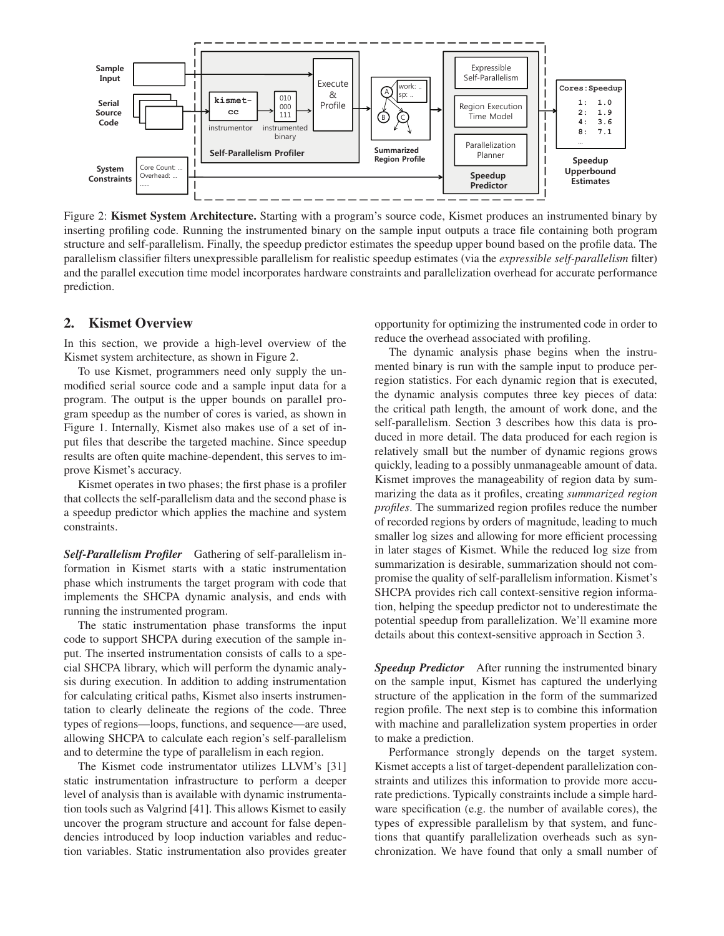

Figure 2: **Kismet System Architecture.** Starting with a program's source code, Kismet produces an instrumented binary by inserting profiling code. Running the instrumented binary on the sample input outputs a trace file containing both program structure and self-parallelism. Finally, the speedup predictor estimates the speedup upper bound based on the profile data. The parallelism classifier filters unexpressible parallelism for realistic speedup estimates (via the *expressible self-parallelism* filter) and the parallel execution time model incorporates hardware constraints and parallelization overhead for accurate performance prediction.

## **2. Kismet Overview**

In this section, we provide a high-level overview of the Kismet system architecture, as shown in Figure 2.

To use Kismet, programmers need only supply the unmodified serial source code and a sample input data for a program. The output is the upper bounds on parallel program speedup as the number of cores is varied, as shown in Figure 1. Internally, Kismet also makes use of a set of input files that describe the targeted machine. Since speedup results are often quite machine-dependent, this serves to improve Kismet's accuracy.

Kismet operates in two phases; the first phase is a profiler that collects the self-parallelism data and the second phase is a speedup predictor which applies the machine and system constraints.

*Self-Parallelism Profiler* Gathering of self-parallelism information in Kismet starts with a static instrumentation phase which instruments the target program with code that implements the SHCPA dynamic analysis, and ends with running the instrumented program.

The static instrumentation phase transforms the input code to support SHCPA during execution of the sample input. The inserted instrumentation consists of calls to a special SHCPA library, which will perform the dynamic analysis during execution. In addition to adding instrumentation for calculating critical paths, Kismet also inserts instrumentation to clearly delineate the regions of the code. Three types of regions—loops, functions, and sequence—are used, allowing SHCPA to calculate each region's self-parallelism and to determine the type of parallelism in each region.

The Kismet code instrumentator utilizes LLVM's [31] static instrumentation infrastructure to perform a deeper level of analysis than is available with dynamic instrumentation tools such as Valgrind [41]. This allows Kismet to easily uncover the program structure and account for false dependencies introduced by loop induction variables and reduction variables. Static instrumentation also provides greater

opportunity for optimizing the instrumented code in order to reduce the overhead associated with profiling.

The dynamic analysis phase begins when the instrumented binary is run with the sample input to produce perregion statistics. For each dynamic region that is executed, the dynamic analysis computes three key pieces of data: the critical path length, the amount of work done, and the self-parallelism. Section 3 describes how this data is produced in more detail. The data produced for each region is relatively small but the number of dynamic regions grows quickly, leading to a possibly unmanageable amount of data. Kismet improves the manageability of region data by summarizing the data as it profiles, creating *summarized region profiles*. The summarized region profiles reduce the number of recorded regions by orders of magnitude, leading to much smaller log sizes and allowing for more efficient processing in later stages of Kismet. While the reduced log size from summarization is desirable, summarization should not compromise the quality of self-parallelism information. Kismet's SHCPA provides rich call context-sensitive region information, helping the speedup predictor not to underestimate the potential speedup from parallelization. We'll examine more details about this context-sensitive approach in Section 3.

*Speedup Predictor* After running the instrumented binary on the sample input, Kismet has captured the underlying structure of the application in the form of the summarized region profile. The next step is to combine this information with machine and parallelization system properties in order to make a prediction.

Performance strongly depends on the target system. Kismet accepts a list of target-dependent parallelization constraints and utilizes this information to provide more accurate predictions. Typically constraints include a simple hardware specification (e.g. the number of available cores), the types of expressible parallelism by that system, and functions that quantify parallelization overheads such as synchronization. We have found that only a small number of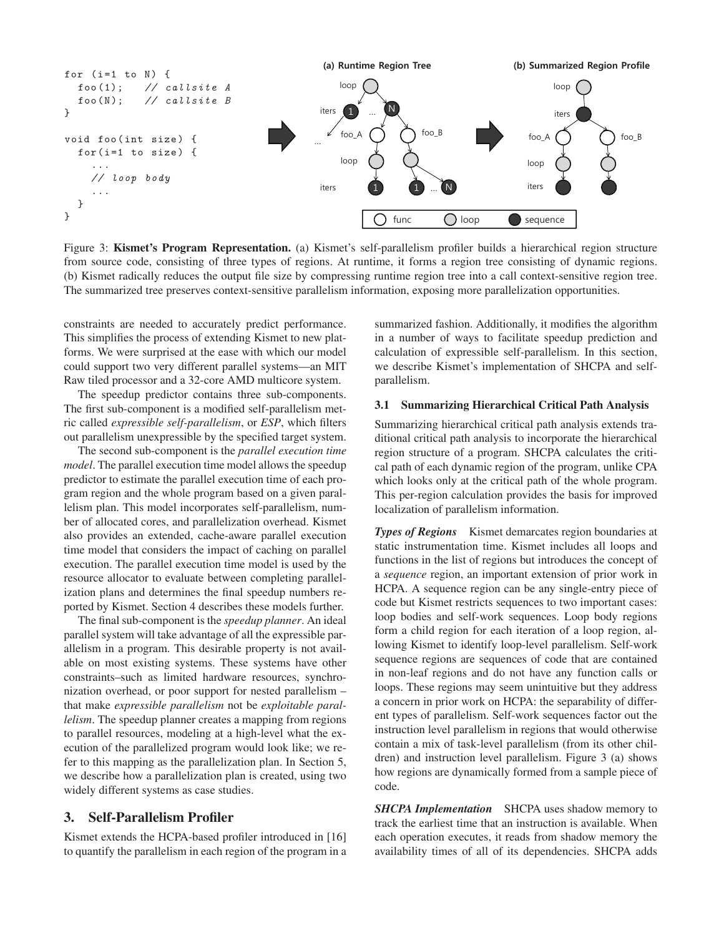

Figure 3: **Kismet's Program Representation.** (a) Kismet's self-parallelism profiler builds a hierarchical region structure from source code, consisting of three types of regions. At runtime, it forms a region tree consisting of dynamic regions. (b) Kismet radically reduces the output file size by compressing runtime region tree into a call context-sensitive region tree. The summarized tree preserves context-sensitive parallelism information, exposing more parallelization opportunities.

constraints are needed to accurately predict performance. This simplifies the process of extending Kismet to new platforms. We were surprised at the ease with which our model could support two very different parallel systems—an MIT Raw tiled processor and a 32-core AMD multicore system.

The speedup predictor contains three sub-components. The first sub-component is a modified self-parallelism metric called *expressible self-parallelism*, or *ESP*, which filters out parallelism unexpressible by the specified target system.

The second sub-component is the *parallel execution time model*. The parallel execution time model allows the speedup predictor to estimate the parallel execution time of each program region and the whole program based on a given parallelism plan. This model incorporates self-parallelism, number of allocated cores, and parallelization overhead. Kismet also provides an extended, cache-aware parallel execution time model that considers the impact of caching on parallel execution. The parallel execution time model is used by the resource allocator to evaluate between completing parallelization plans and determines the final speedup numbers reported by Kismet. Section 4 describes these models further.

The final sub-component is the *speedup planner*. An ideal parallel system will take advantage of all the expressible parallelism in a program. This desirable property is not available on most existing systems. These systems have other constraints–such as limited hardware resources, synchronization overhead, or poor support for nested parallelism – that make *expressible parallelism* not be *exploitable parallelism*. The speedup planner creates a mapping from regions to parallel resources, modeling at a high-level what the execution of the parallelized program would look like; we refer to this mapping as the parallelization plan. In Section 5, we describe how a parallelization plan is created, using two widely different systems as case studies.

# **3. Self-Parallelism Profiler**

Kismet extends the HCPA-based profiler introduced in [16] to quantify the parallelism in each region of the program in a

summarized fashion. Additionally, it modifies the algorithm in a number of ways to facilitate speedup prediction and calculation of expressible self-parallelism. In this section, we describe Kismet's implementation of SHCPA and selfparallelism.

#### **3.1 Summarizing Hierarchical Critical Path Analysis**

Summarizing hierarchical critical path analysis extends traditional critical path analysis to incorporate the hierarchical region structure of a program. SHCPA calculates the critical path of each dynamic region of the program, unlike CPA which looks only at the critical path of the whole program. This per-region calculation provides the basis for improved localization of parallelism information.

*Types of Regions* Kismet demarcates region boundaries at static instrumentation time. Kismet includes all loops and functions in the list of regions but introduces the concept of a *sequence* region, an important extension of prior work in HCPA. A sequence region can be any single-entry piece of code but Kismet restricts sequences to two important cases: loop bodies and self-work sequences. Loop body regions form a child region for each iteration of a loop region, allowing Kismet to identify loop-level parallelism. Self-work sequence regions are sequences of code that are contained in non-leaf regions and do not have any function calls or loops. These regions may seem unintuitive but they address a concern in prior work on HCPA: the separability of different types of parallelism. Self-work sequences factor out the instruction level parallelism in regions that would otherwise contain a mix of task-level parallelism (from its other children) and instruction level parallelism. Figure 3 (a) shows how regions are dynamically formed from a sample piece of code.

*SHCPA Implementation* SHCPA uses shadow memory to track the earliest time that an instruction is available. When each operation executes, it reads from shadow memory the availability times of all of its dependencies. SHCPA adds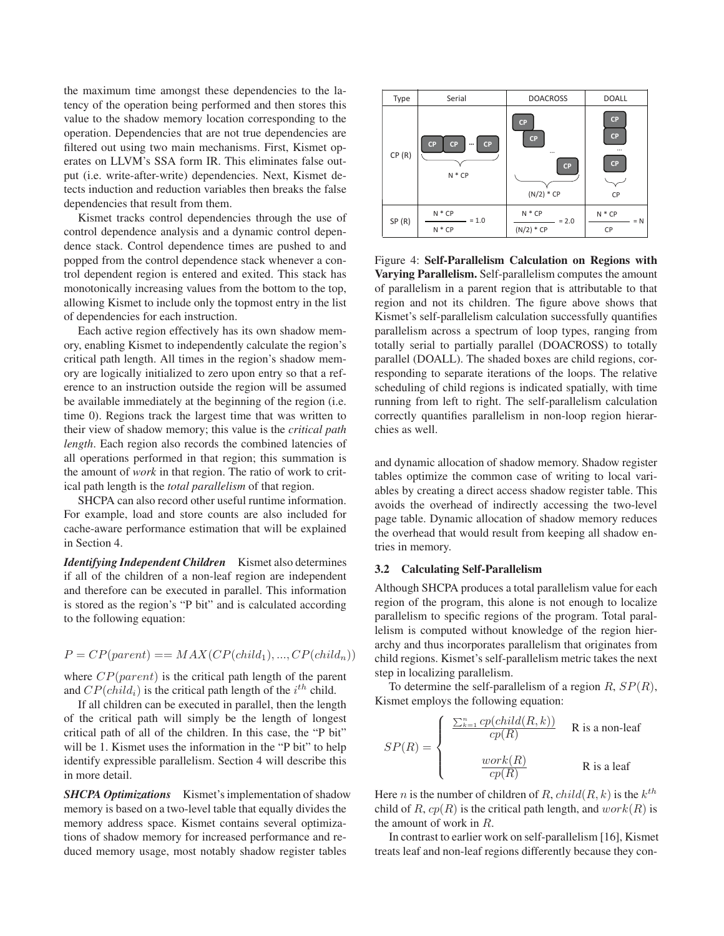the maximum time amongst these dependencies to the latency of the operation being performed and then stores this value to the shadow memory location corresponding to the operation. Dependencies that are not true dependencies are filtered out using two main mechanisms. First, Kismet operates on LLVM's SSA form IR. This eliminates false output (i.e. write-after-write) dependencies. Next, Kismet detects induction and reduction variables then breaks the false dependencies that result from them.

Kismet tracks control dependencies through the use of control dependence analysis and a dynamic control dependence stack. Control dependence times are pushed to and popped from the control dependence stack whenever a control dependent region is entered and exited. This stack has monotonically increasing values from the bottom to the top, allowing Kismet to include only the topmost entry in the list of dependencies for each instruction.

Each active region effectively has its own shadow memory, enabling Kismet to independently calculate the region's critical path length. All times in the region's shadow memory are logically initialized to zero upon entry so that a reference to an instruction outside the region will be assumed be available immediately at the beginning of the region (i.e. time 0). Regions track the largest time that was written to their view of shadow memory; this value is the *critical path length*. Each region also records the combined latencies of all operations performed in that region; this summation is the amount of *work* in that region. The ratio of work to critical path length is the *total parallelism* of that region.

SHCPA can also record other useful runtime information. For example, load and store counts are also included for cache-aware performance estimation that will be explained in Section 4.

*Identifying Independent Children* Kismet also determines if all of the children of a non-leaf region are independent and therefore can be executed in parallel. This information is stored as the region's "P bit" and is calculated according to the following equation:

$$
P = CP(parent) == MAX(CP(child_1), ..., CP(child_n))
$$

where  $CP(parent)$  is the critical path length of the parent and  $CP(child_i)$  is the critical path length of the  $i^{th}$  child.

If all children can be executed in parallel, then the length of the critical path will simply be the length of longest critical path of all of the children. In this case, the "P bit" will be 1. Kismet uses the information in the "P bit" to help identify expressible parallelism. Section 4 will describe this in more detail.

*SHCPA Optimizations* Kismet's implementation of shadow memory is based on a two-level table that equally divides the memory address space. Kismet contains several optimizations of shadow memory for increased performance and reduced memory usage, most notably shadow register tables



Figure 4: **Self-Parallelism Calculation on Regions with Varying Parallelism.** Self-parallelism computes the amount of parallelism in a parent region that is attributable to that region and not its children. The figure above shows that Kismet's self-parallelism calculation successfully quantifies parallelism across a spectrum of loop types, ranging from totally serial to partially parallel (DOACROSS) to totally parallel (DOALL). The shaded boxes are child regions, corresponding to separate iterations of the loops. The relative scheduling of child regions is indicated spatially, with time running from left to right. The self-parallelism calculation correctly quantifies parallelism in non-loop region hierarchies as well.

and dynamic allocation of shadow memory. Shadow register tables optimize the common case of writing to local variables by creating a direct access shadow register table. This avoids the overhead of indirectly accessing the two-level page table. Dynamic allocation of shadow memory reduces the overhead that would result from keeping all shadow entries in memory.

#### **3.2 Calculating Self-Parallelism**

Although SHCPA produces a total parallelism value for each region of the program, this alone is not enough to localize parallelism to specific regions of the program. Total parallelism is computed without knowledge of the region hierarchy and thus incorporates parallelism that originates from child regions. Kismet's self-parallelism metric takes the next step in localizing parallelism.

To determine the self-parallelism of a region  $R$ ,  $SP(R)$ , Kismet employs the following equation:

$$
SP(R) = \begin{cases} \frac{\sum_{k=1}^{n} cp(child(R, k))}{cp(R)} & \text{R is a non-leaf} \\ \frac{work(R)}{cp(R)} & \text{R is a leaf} \end{cases}
$$

Here *n* is the number of children of *R*,  $child(R, k)$  is the  $k^{th}$ child of R,  $cp(R)$  is the critical path length, and  $work(R)$  is the amount of work in R.

In contrast to earlier work on self-parallelism [16], Kismet treats leaf and non-leaf regions differently because they con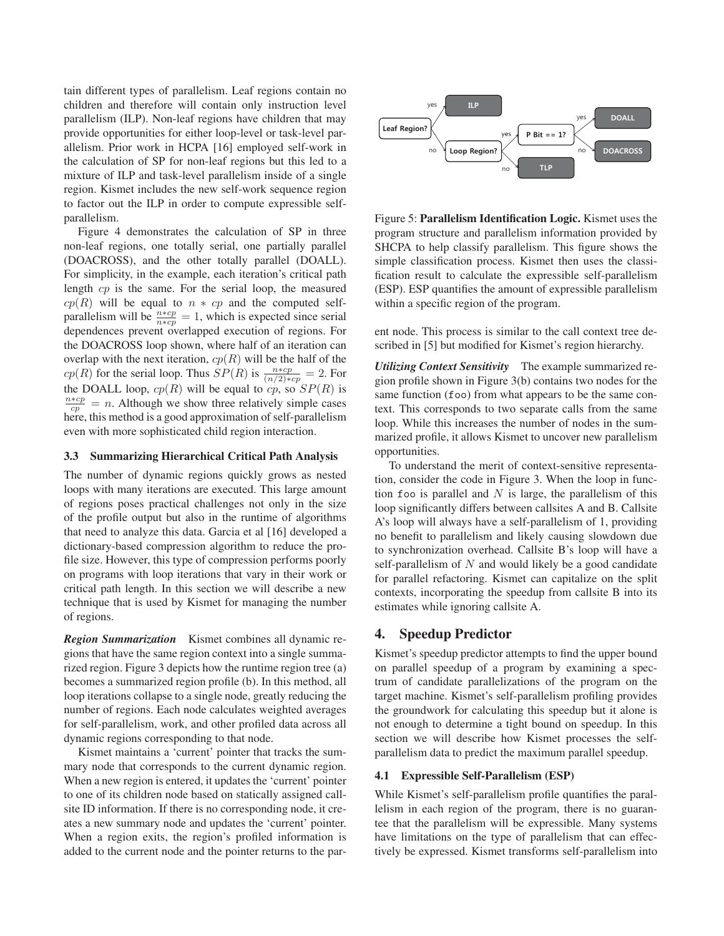tain different types of parallelism. Leaf regions contain no children and therefore will contain only instruction level parallelism (ILP). Non-leaf regions have children that may provide opportunities for either loop-level or task-level parallelism. Prior work in HCPA [16] employed self-work in the calculation of SP for non-leaf regions but this led to a mixture of ILP and task-level parallelism inside of a single region. Kismet includes the new self-work sequence region to factor out the ILP in order to compute expressible selfparallelism.

Figure 4 demonstrates the calculation of SP in three non-leaf regions, one totally serial, one partially parallel (DOACROSS), and the other totally parallel (DOALL). For simplicity, in the example, each iteration's critical path length cp is the same. For the serial loop, the measured  $cp(R)$  will be equal to  $n * cp$  and the computed selfparallelism will be  $\frac{n * cp}{n * cp} = 1$ , which is expected since serial dependences prevent overlapped execution of regions. For the DOACROSS loop shown, where half of an iteration can overlap with the next iteration,  $cp(R)$  will be the half of the  $cp(R)$  for the serial loop. Thus  $SP(R)$  is  $\frac{n * cp}{(n/2) * cp} = 2$ . For the DOALL loop,  $cp(R)$  will be equal to  $cp$ , so  $SP(R)$  is  $\frac{n*ep}{cp} = n$ . Although we show three relatively simple cases here, this method is a good approximation of self-parallelism even with more sophisticated child region interaction.

#### **3.3 Summarizing Hierarchical Critical Path Analysis**

The number of dynamic regions quickly grows as nested loops with many iterations are executed. This large amount of regions poses practical challenges not only in the size of the profile output but also in the runtime of algorithms that need to analyze this data. Garcia et al [16] developed a dictionary-based compression algorithm to reduce the profile size. However, this type of compression performs poorly on programs with loop iterations that vary in their work or critical path length. In this section we will describe a new technique that is used by Kismet for managing the number of regions.

*Region Summarization* Kismet combines all dynamic regions that have the same region context into a single summarized region. Figure 3 depicts how the runtime region tree (a) becomes a summarized region profile (b). In this method, all loop iterations collapse to a single node, greatly reducing the number of regions. Each node calculates weighted averages for self-parallelism, work, and other profiled data across all dynamic regions corresponding to that node.

Kismet maintains a 'current' pointer that tracks the summary node that corresponds to the current dynamic region. When a new region is entered, it updates the 'current' pointer to one of its children node based on statically assigned callsite ID information. If there is no corresponding node, it creates a new summary node and updates the 'current' pointer. When a region exits, the region's profiled information is added to the current node and the pointer returns to the par-



Figure 5: **Parallelism Identification Logic.** Kismet uses the program structure and parallelism information provided by SHCPA to help classify parallelism. This figure shows the simple classification process. Kismet then uses the classification result to calculate the expressible self-parallelism (ESP). ESP quantifies the amount of expressible parallelism within a specific region of the program.

ent node. This process is similar to the call context tree described in [5] but modified for Kismet's region hierarchy.

*Utilizing Context Sensitivity* The example summarized region profile shown in Figure 3(b) contains two nodes for the same function (foo) from what appears to be the same context. This corresponds to two separate calls from the same loop. While this increases the number of nodes in the summarized profile, it allows Kismet to uncover new parallelism opportunities.

To understand the merit of context-sensitive representation, consider the code in Figure 3. When the loop in function foo is parallel and  $N$  is large, the parallelism of this loop significantly differs between callsites A and B. Callsite A's loop will always have a self-parallelism of 1, providing no benefit to parallelism and likely causing slowdown due to synchronization overhead. Callsite B's loop will have a self-parallelism of  $N$  and would likely be a good candidate for parallel refactoring. Kismet can capitalize on the split contexts, incorporating the speedup from callsite B into its estimates while ignoring callsite A.

# **4. Speedup Predictor**

Kismet's speedup predictor attempts to find the upper bound on parallel speedup of a program by examining a spectrum of candidate parallelizations of the program on the target machine. Kismet's self-parallelism profiling provides the groundwork for calculating this speedup but it alone is not enough to determine a tight bound on speedup. In this section we will describe how Kismet processes the selfparallelism data to predict the maximum parallel speedup.

#### **4.1 Expressible Self-Parallelism (ESP)**

While Kismet's self-parallelism profile quantifies the parallelism in each region of the program, there is no guarantee that the parallelism will be expressible. Many systems have limitations on the type of parallelism that can effectively be expressed. Kismet transforms self-parallelism into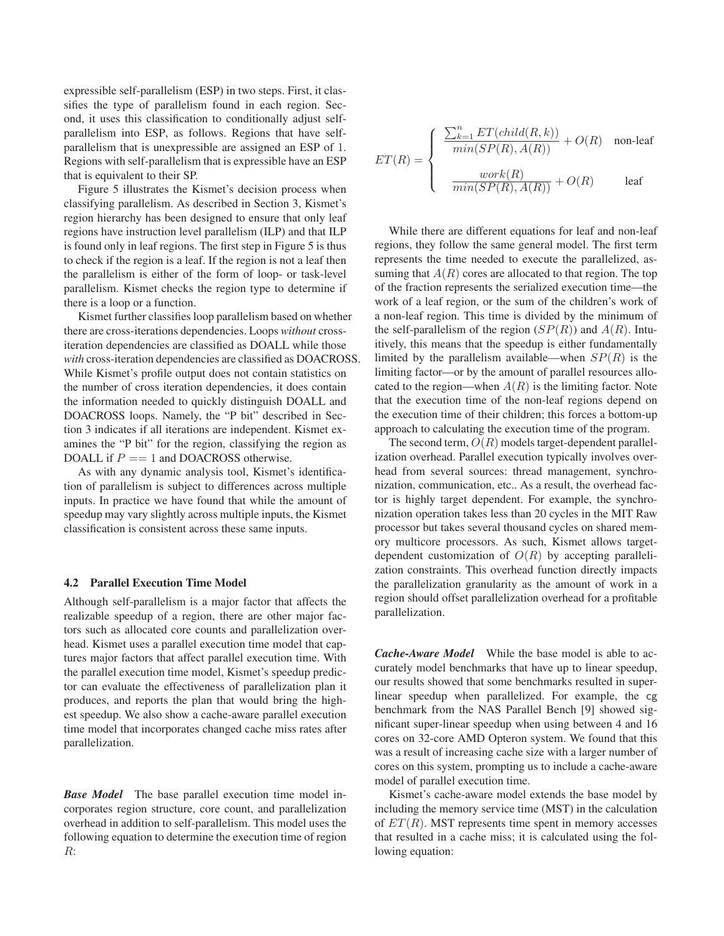expressible self-parallelism (ESP) in two steps. First, it classifies the type of parallelism found in each region. Second, it uses this classification to conditionally adjust selfparallelism into ESP, as follows. Regions that have selfparallelism that is unexpressible are assigned an ESP of 1. Regions with self-parallelism that is expressible have an ESP that is equivalent to their SP.

Figure 5 illustrates the Kismet's decision process when classifying parallelism. As described in Section 3, Kismet's region hierarchy has been designed to ensure that only leaf regions have instruction level parallelism (ILP) and that ILP is found only in leaf regions. The first step in Figure 5 is thus to check if the region is a leaf. If the region is not a leaf then the parallelism is either of the form of loop- or task-level parallelism. Kismet checks the region type to determine if there is a loop or a function.

Kismet further classifies loop parallelism based on whether there are cross-iterations dependencies. Loops *without* crossiteration dependencies are classified as DOALL while those *with* cross-iteration dependencies are classified as DOACROSS. While Kismet's profile output does not contain statistics on the number of cross iteration dependencies, it does contain the information needed to quickly distinguish DOALL and DOACROSS loops. Namely, the "P bit" described in Section 3 indicates if all iterations are independent. Kismet examines the "P bit" for the region, classifying the region as DOALL if  $P == 1$  and DOACROSS otherwise.

As with any dynamic analysis tool, Kismet's identification of parallelism is subject to differences across multiple inputs. In practice we have found that while the amount of speedup may vary slightly across multiple inputs, the Kismet classification is consistent across these same inputs.

#### **4.2 Parallel Execution Time Model**

Although self-parallelism is a major factor that affects the realizable speedup of a region, there are other major factors such as allocated core counts and parallelization overhead. Kismet uses a parallel execution time model that captures major factors that affect parallel execution time. With the parallel execution time model, Kismet's speedup predictor can evaluate the effectiveness of parallelization plan it produces, and reports the plan that would bring the highest speedup. We also show a cache-aware parallel execution time model that incorporates changed cache miss rates after parallelization.

*Base Model* The base parallel execution time model incorporates region structure, core count, and parallelization overhead in addition to self-parallelism. This model uses the following equation to determine the execution time of region R:

$$
ET(R) = \left\{ \begin{array}{cl} \frac{\sum_{k=1}^{n} ET(child(R,k))}{min(SP(R),A(R))} + O(R) & \text{non-leaf} \\ & \\ \frac{work(R)}{min(SP(R),A(R))} + O(R) & \text{leaf} \end{array} \right.
$$

While there are different equations for leaf and non-leaf regions, they follow the same general model. The first term represents the time needed to execute the parallelized, assuming that  $A(R)$  cores are allocated to that region. The top of the fraction represents the serialized execution time—the work of a leaf region, or the sum of the children's work of a non-leaf region. This time is divided by the minimum of the self-parallelism of the region  $(SP(R))$  and  $A(R)$ . Intuitively, this means that the speedup is either fundamentally limited by the parallelism available—when  $SP(R)$  is the limiting factor—or by the amount of parallel resources allocated to the region—when  $A(R)$  is the limiting factor. Note that the execution time of the non-leaf regions depend on the execution time of their children; this forces a bottom-up approach to calculating the execution time of the program.

The second term,  $O(R)$  models target-dependent parallelization overhead. Parallel execution typically involves overhead from several sources: thread management, synchronization, communication, etc.. As a result, the overhead factor is highly target dependent. For example, the synchronization operation takes less than 20 cycles in the MIT Raw processor but takes several thousand cycles on shared memory multicore processors. As such, Kismet allows targetdependent customization of  $O(R)$  by accepting parallelization constraints. This overhead function directly impacts the parallelization granularity as the amount of work in a region should offset parallelization overhead for a profitable parallelization.

*Cache-Aware Model* While the base model is able to accurately model benchmarks that have up to linear speedup, our results showed that some benchmarks resulted in superlinear speedup when parallelized. For example, the cg benchmark from the NAS Parallel Bench [9] showed significant super-linear speedup when using between 4 and 16 cores on 32-core AMD Opteron system. We found that this was a result of increasing cache size with a larger number of cores on this system, prompting us to include a cache-aware model of parallel execution time.

Kismet's cache-aware model extends the base model by including the memory service time (MST) in the calculation of  $ET(R)$ . MST represents time spent in memory accesses that resulted in a cache miss; it is calculated using the following equation: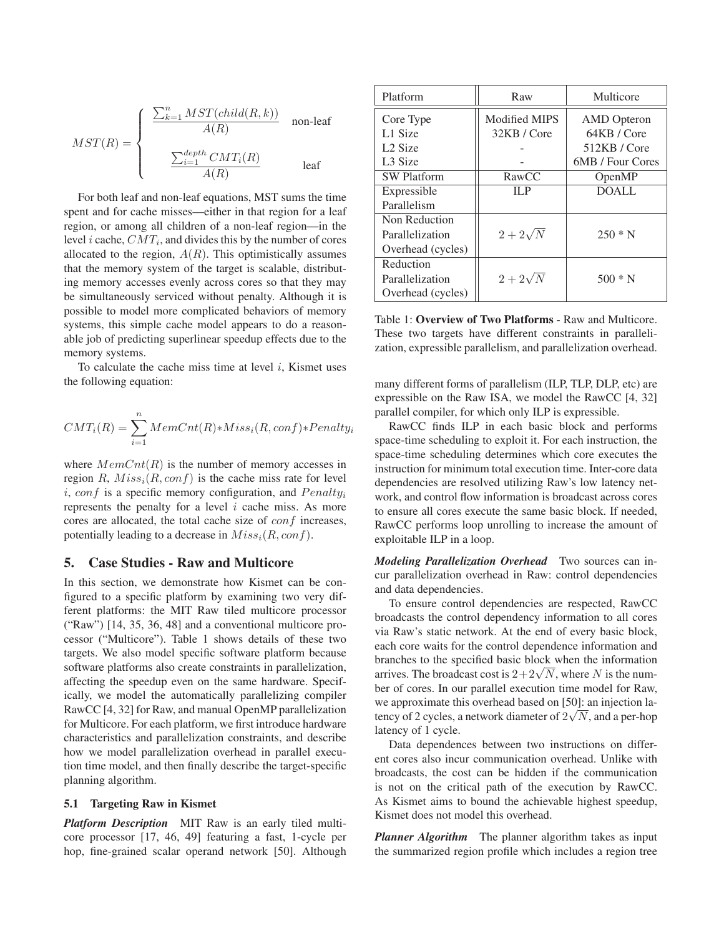$$
MST(R) = \left\{ \begin{array}{cl} \frac{\sum_{k=1}^{n} MST(child(R,k))}{A(R)} & \text{non-leaf} \\ & \\ \frac{\sum_{i=1}^{depth} CMT_{i}(R)}{A(R)} & \text{leaf} \end{array} \right.
$$

For both leaf and non-leaf equations, MST sums the time spent and for cache misses—either in that region for a leaf region, or among all children of a non-leaf region—in the level *i* cache,  $CMT_i$ , and divides this by the number of cores allocated to the region,  $A(R)$ . This optimistically assumes that the memory system of the target is scalable, distributing memory accesses evenly across cores so that they may be simultaneously serviced without penalty. Although it is possible to model more complicated behaviors of memory systems, this simple cache model appears to do a reasonable job of predicting superlinear speedup effects due to the memory systems.

To calculate the cache miss time at level  $i$ , Kismet uses the following equation:

$$
CMT_i(R) = \sum_{i=1}^{n} MemCnt(R) * Miss_i(R, conf) * Penalty_i
$$

where  $MemCnt(R)$  is the number of memory accesses in region R,  $Miss_i(R, conf)$  is the cache miss rate for level i, conf is a specific memory configuration, and  $Penalty_i$ represents the penalty for a level  $i$  cache miss. As more cores are allocated, the total cache size of conf increases, potentially leading to a decrease in  $Miss_i(R, conf)$ .

## **5. Case Studies - Raw and Multicore**

In this section, we demonstrate how Kismet can be configured to a specific platform by examining two very different platforms: the MIT Raw tiled multicore processor ("Raw") [14, 35, 36, 48] and a conventional multicore processor ("Multicore"). Table 1 shows details of these two targets. We also model specific software platform because software platforms also create constraints in parallelization, affecting the speedup even on the same hardware. Specifically, we model the automatically parallelizing compiler RawCC [4, 32] for Raw, and manual OpenMP parallelization for Multicore. For each platform, we first introduce hardware characteristics and parallelization constraints, and describe how we model parallelization overhead in parallel execution time model, and then finally describe the target-specific planning algorithm.

#### **5.1 Targeting Raw in Kismet**

*Platform Description* MIT Raw is an early tiled multicore processor [17, 46, 49] featuring a fast, 1-cycle per hop, fine-grained scalar operand network [50]. Although

| Platform            | Raw                  | Multicore          |  |  |
|---------------------|----------------------|--------------------|--|--|
| Core Type           | <b>Modified MIPS</b> | <b>AMD</b> Opteron |  |  |
| L1 Size             | 32KB/Core            | 64KB / Core        |  |  |
| L <sub>2</sub> Size |                      | 512KB/Core         |  |  |
| L <sub>3</sub> Size |                      | 6MB / Four Cores   |  |  |
| <b>SW Platform</b>  | RawCC                | OpenMP             |  |  |
| Expressible         | ILP                  | <b>DOALL</b>       |  |  |
| Parallelism         |                      |                    |  |  |
| Non Reduction       |                      |                    |  |  |
| Parallelization     | $2+2\sqrt{N}$        | $250 * N$          |  |  |
| Overhead (cycles)   |                      |                    |  |  |
| Reduction           |                      |                    |  |  |
| Parallelization     | $2+2\sqrt{N}$        | $500 * N$          |  |  |
| Overhead (cycles)   |                      |                    |  |  |

Table 1: **Overview of Two Platforms** - Raw and Multicore. These two targets have different constraints in parallelization, expressible parallelism, and parallelization overhead.

many different forms of parallelism (ILP, TLP, DLP, etc) are expressible on the Raw ISA, we model the RawCC [4, 32] parallel compiler, for which only ILP is expressible.

RawCC finds ILP in each basic block and performs space-time scheduling to exploit it. For each instruction, the space-time scheduling determines which core executes the instruction for minimum total execution time. Inter-core data dependencies are resolved utilizing Raw's low latency network, and control flow information is broadcast across cores to ensure all cores execute the same basic block. If needed, RawCC performs loop unrolling to increase the amount of exploitable ILP in a loop.

*Modeling Parallelization Overhead* Two sources can incur parallelization overhead in Raw: control dependencies and data dependencies.

To ensure control dependencies are respected, RawCC broadcasts the control dependency information to all cores via Raw's static network. At the end of every basic block, each core waits for the control dependence information and branches to the specified basic block when the information arrives. The broadcast cost is  $2+2\sqrt{N}$ , where N is the number of cores. In our parallel execution time model for Raw, we approximate this overhead based on [50]: an injection latency of 2 cycles, a network diameter of  $2\sqrt{N}$ , and a per-hop latency of 1 cycle.

Data dependences between two instructions on different cores also incur communication overhead. Unlike with broadcasts, the cost can be hidden if the communication is not on the critical path of the execution by RawCC. As Kismet aims to bound the achievable highest speedup, Kismet does not model this overhead.

*Planner Algorithm* The planner algorithm takes as input the summarized region profile which includes a region tree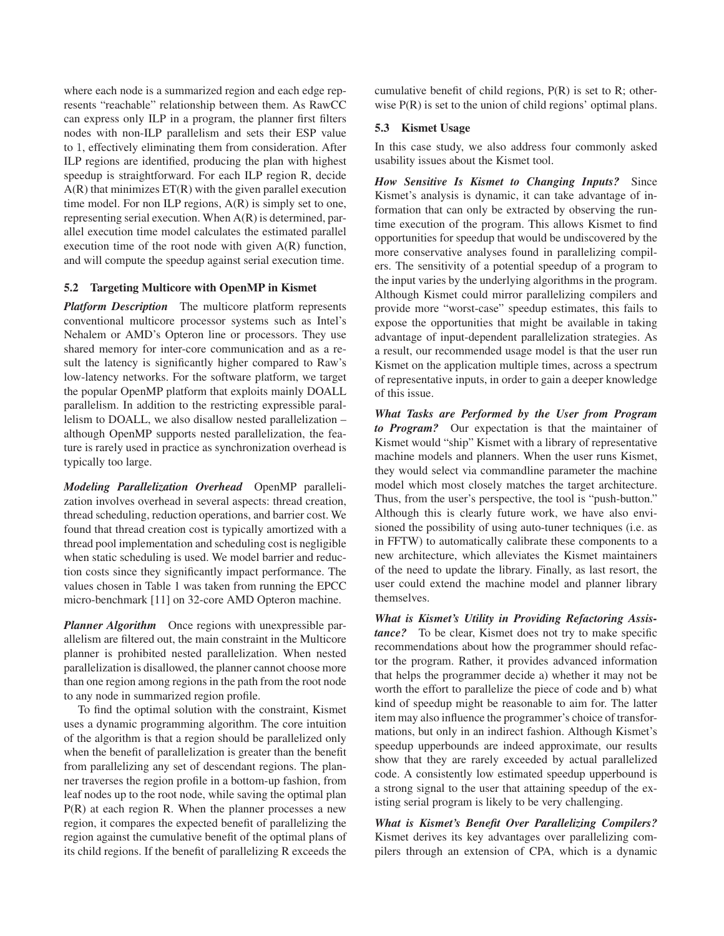where each node is a summarized region and each edge represents "reachable" relationship between them. As RawCC can express only ILP in a program, the planner first filters nodes with non-ILP parallelism and sets their ESP value to 1, effectively eliminating them from consideration. After ILP regions are identified, producing the plan with highest speedup is straightforward. For each ILP region R, decide  $A(R)$  that minimizes  $ET(R)$  with the given parallel execution time model. For non ILP regions, A(R) is simply set to one, representing serial execution. When A(R) is determined, parallel execution time model calculates the estimated parallel execution time of the root node with given A(R) function, and will compute the speedup against serial execution time.

#### **5.2 Targeting Multicore with OpenMP in Kismet**

*Platform Description* The multicore platform represents conventional multicore processor systems such as Intel's Nehalem or AMD's Opteron line or processors. They use shared memory for inter-core communication and as a result the latency is significantly higher compared to Raw's low-latency networks. For the software platform, we target the popular OpenMP platform that exploits mainly DOALL parallelism. In addition to the restricting expressible parallelism to DOALL, we also disallow nested parallelization – although OpenMP supports nested parallelization, the feature is rarely used in practice as synchronization overhead is typically too large.

*Modeling Parallelization Overhead* OpenMP parallelization involves overhead in several aspects: thread creation, thread scheduling, reduction operations, and barrier cost. We found that thread creation cost is typically amortized with a thread pool implementation and scheduling cost is negligible when static scheduling is used. We model barrier and reduction costs since they significantly impact performance. The values chosen in Table 1 was taken from running the EPCC micro-benchmark [11] on 32-core AMD Opteron machine.

*Planner Algorithm* Once regions with unexpressible parallelism are filtered out, the main constraint in the Multicore planner is prohibited nested parallelization. When nested parallelization is disallowed, the planner cannot choose more than one region among regions in the path from the root node to any node in summarized region profile.

To find the optimal solution with the constraint, Kismet uses a dynamic programming algorithm. The core intuition of the algorithm is that a region should be parallelized only when the benefit of parallelization is greater than the benefit from parallelizing any set of descendant regions. The planner traverses the region profile in a bottom-up fashion, from leaf nodes up to the root node, while saving the optimal plan P(R) at each region R. When the planner processes a new region, it compares the expected benefit of parallelizing the region against the cumulative benefit of the optimal plans of its child regions. If the benefit of parallelizing R exceeds the

cumulative benefit of child regions, P(R) is set to R; otherwise  $P(R)$  is set to the union of child regions' optimal plans.

#### **5.3 Kismet Usage**

In this case study, we also address four commonly asked usability issues about the Kismet tool.

*How Sensitive Is Kismet to Changing Inputs?* Since Kismet's analysis is dynamic, it can take advantage of information that can only be extracted by observing the runtime execution of the program. This allows Kismet to find opportunities for speedup that would be undiscovered by the more conservative analyses found in parallelizing compilers. The sensitivity of a potential speedup of a program to the input varies by the underlying algorithms in the program. Although Kismet could mirror parallelizing compilers and provide more "worst-case" speedup estimates, this fails to expose the opportunities that might be available in taking advantage of input-dependent parallelization strategies. As a result, our recommended usage model is that the user run Kismet on the application multiple times, across a spectrum of representative inputs, in order to gain a deeper knowledge of this issue.

*What Tasks are Performed by the User from Program to Program?* Our expectation is that the maintainer of Kismet would "ship" Kismet with a library of representative machine models and planners. When the user runs Kismet, they would select via commandline parameter the machine model which most closely matches the target architecture. Thus, from the user's perspective, the tool is "push-button." Although this is clearly future work, we have also envisioned the possibility of using auto-tuner techniques (i.e. as in FFTW) to automatically calibrate these components to a new architecture, which alleviates the Kismet maintainers of the need to update the library. Finally, as last resort, the user could extend the machine model and planner library themselves.

*What is Kismet's Utility in Providing Refactoring Assistance?* To be clear, Kismet does not try to make specific recommendations about how the programmer should refactor the program. Rather, it provides advanced information that helps the programmer decide a) whether it may not be worth the effort to parallelize the piece of code and b) what kind of speedup might be reasonable to aim for. The latter item may also influence the programmer's choice of transformations, but only in an indirect fashion. Although Kismet's speedup upperbounds are indeed approximate, our results show that they are rarely exceeded by actual parallelized code. A consistently low estimated speedup upperbound is a strong signal to the user that attaining speedup of the existing serial program is likely to be very challenging.

*What is Kismet's Benefit Over Parallelizing Compilers?* Kismet derives its key advantages over parallelizing compilers through an extension of CPA, which is a dynamic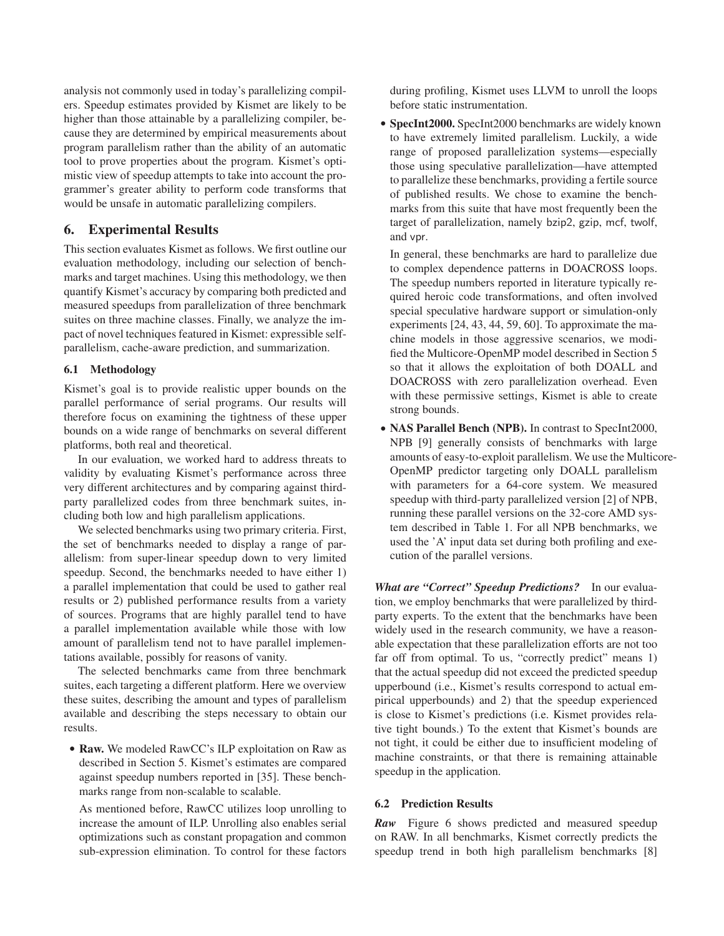analysis not commonly used in today's parallelizing compilers. Speedup estimates provided by Kismet are likely to be higher than those attainable by a parallelizing compiler, because they are determined by empirical measurements about program parallelism rather than the ability of an automatic tool to prove properties about the program. Kismet's optimistic view of speedup attempts to take into account the programmer's greater ability to perform code transforms that would be unsafe in automatic parallelizing compilers.

# **6. Experimental Results**

This section evaluates Kismet as follows. We first outline our evaluation methodology, including our selection of benchmarks and target machines. Using this methodology, we then quantify Kismet's accuracy by comparing both predicted and measured speedups from parallelization of three benchmark suites on three machine classes. Finally, we analyze the impact of novel techniques featured in Kismet: expressible selfparallelism, cache-aware prediction, and summarization.

## **6.1 Methodology**

Kismet's goal is to provide realistic upper bounds on the parallel performance of serial programs. Our results will therefore focus on examining the tightness of these upper bounds on a wide range of benchmarks on several different platforms, both real and theoretical.

In our evaluation, we worked hard to address threats to validity by evaluating Kismet's performance across three very different architectures and by comparing against thirdparty parallelized codes from three benchmark suites, including both low and high parallelism applications.

We selected benchmarks using two primary criteria. First, the set of benchmarks needed to display a range of parallelism: from super-linear speedup down to very limited speedup. Second, the benchmarks needed to have either 1) a parallel implementation that could be used to gather real results or 2) published performance results from a variety of sources. Programs that are highly parallel tend to have a parallel implementation available while those with low amount of parallelism tend not to have parallel implementations available, possibly for reasons of vanity.

The selected benchmarks came from three benchmark suites, each targeting a different platform. Here we overview these suites, describing the amount and types of parallelism available and describing the steps necessary to obtain our results.

• **Raw.** We modeled RawCC's ILP exploitation on Raw as described in Section 5. Kismet's estimates are compared against speedup numbers reported in [35]. These benchmarks range from non-scalable to scalable.

As mentioned before, RawCC utilizes loop unrolling to increase the amount of ILP. Unrolling also enables serial optimizations such as constant propagation and common sub-expression elimination. To control for these factors

during profiling, Kismet uses LLVM to unroll the loops before static instrumentation.

• **SpecInt2000.** SpecInt2000 benchmarks are widely known to have extremely limited parallelism. Luckily, a wide range of proposed parallelization systems—especially those using speculative parallelization—have attempted to parallelize these benchmarks, providing a fertile source of published results. We chose to examine the benchmarks from this suite that have most frequently been the target of parallelization, namely bzip2, gzip, mcf, twolf, and vpr.

In general, these benchmarks are hard to parallelize due to complex dependence patterns in DOACROSS loops. The speedup numbers reported in literature typically required heroic code transformations, and often involved special speculative hardware support or simulation-only experiments [24, 43, 44, 59, 60]. To approximate the machine models in those aggressive scenarios, we modified the Multicore-OpenMP model described in Section 5 so that it allows the exploitation of both DOALL and DOACROSS with zero parallelization overhead. Even with these permissive settings, Kismet is able to create strong bounds.

• **NAS Parallel Bench (NPB).** In contrast to SpecInt2000, NPB [9] generally consists of benchmarks with large amounts of easy-to-exploit parallelism. We use the Multicore-OpenMP predictor targeting only DOALL parallelism with parameters for a 64-core system. We measured speedup with third-party parallelized version [2] of NPB, running these parallel versions on the 32-core AMD system described in Table 1. For all NPB benchmarks, we used the 'A' input data set during both profiling and execution of the parallel versions.

*What are "Correct" Speedup Predictions?* In our evaluation, we employ benchmarks that were parallelized by thirdparty experts. To the extent that the benchmarks have been widely used in the research community, we have a reasonable expectation that these parallelization efforts are not too far off from optimal. To us, "correctly predict" means 1) that the actual speedup did not exceed the predicted speedup upperbound (i.e., Kismet's results correspond to actual empirical upperbounds) and 2) that the speedup experienced is close to Kismet's predictions (i.e. Kismet provides relative tight bounds.) To the extent that Kismet's bounds are not tight, it could be either due to insufficient modeling of machine constraints, or that there is remaining attainable speedup in the application.

#### **6.2 Prediction Results**

*Raw* Figure 6 shows predicted and measured speedup on RAW. In all benchmarks, Kismet correctly predicts the speedup trend in both high parallelism benchmarks [8]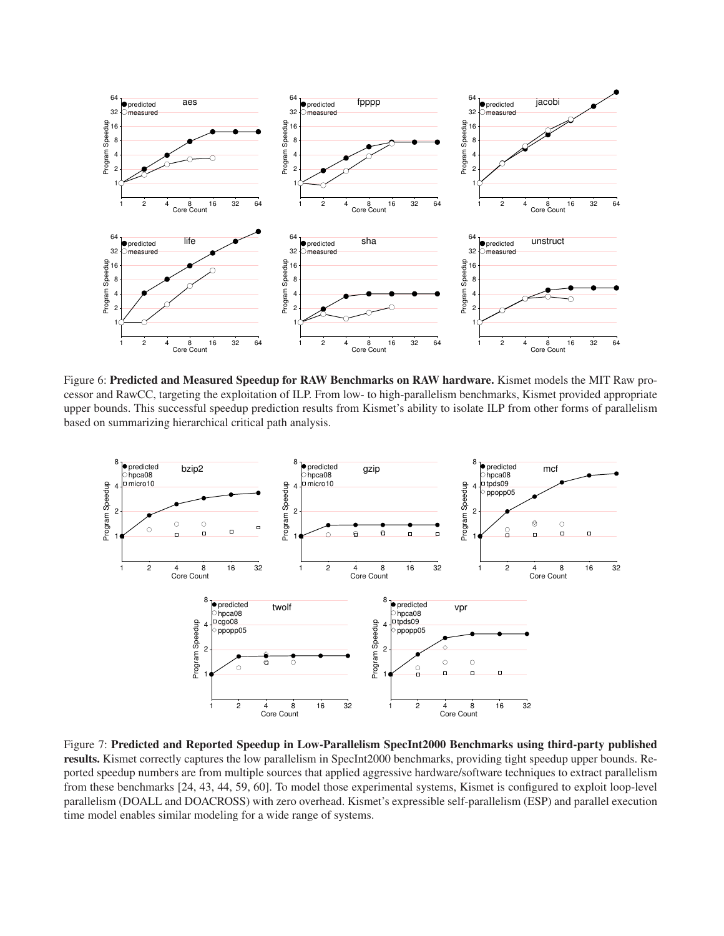

Figure 6: **Predicted and Measured Speedup for RAW Benchmarks on RAW hardware.** Kismet models the MIT Raw processor and RawCC, targeting the exploitation of ILP. From low- to high-parallelism benchmarks, Kismet provided appropriate upper bounds. This successful speedup prediction results from Kismet's ability to isolate ILP from other forms of parallelism based on summarizing hierarchical critical path analysis.



Figure 7: **Predicted and Reported Speedup in Low-Parallelism SpecInt2000 Benchmarks using third-party published results.** Kismet correctly captures the low parallelism in SpecInt2000 benchmarks, providing tight speedup upper bounds. Reported speedup numbers are from multiple sources that applied aggressive hardware/software techniques to extract parallelism from these benchmarks [24, 43, 44, 59, 60]. To model those experimental systems, Kismet is configured to exploit loop-level parallelism (DOALL and DOACROSS) with zero overhead. Kismet's expressible self-parallelism (ESP) and parallel execution time model enables similar modeling for a wide range of systems.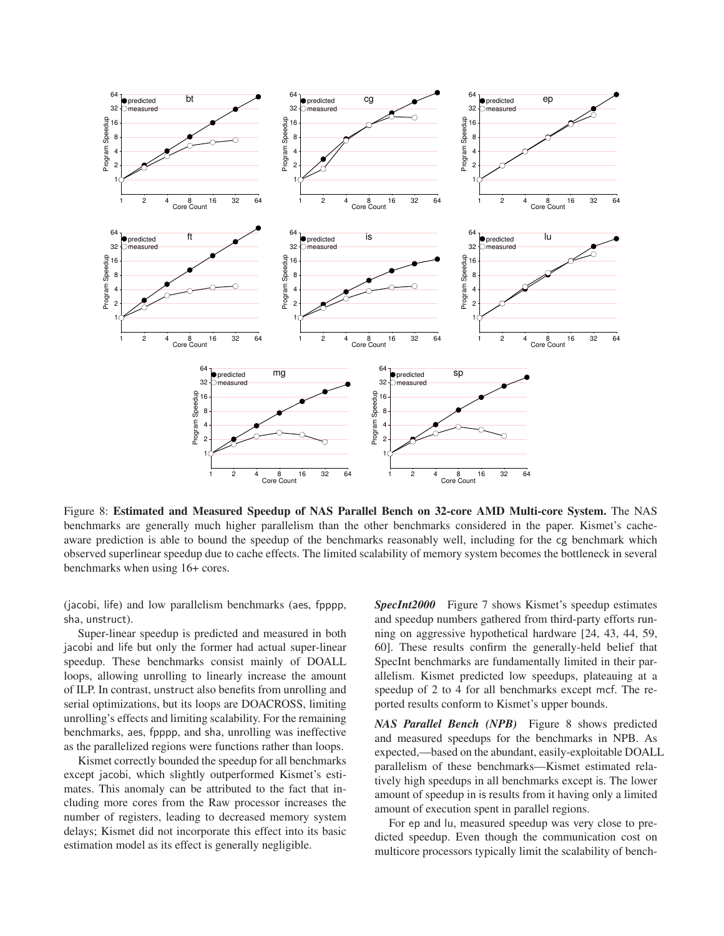

Figure 8: **Estimated and Measured Speedup of NAS Parallel Bench on 32-core AMD Multi-core System.** The NAS benchmarks are generally much higher parallelism than the other benchmarks considered in the paper. Kismet's cacheaware prediction is able to bound the speedup of the benchmarks reasonably well, including for the cg benchmark which observed superlinear speedup due to cache effects. The limited scalability of memory system becomes the bottleneck in several benchmarks when using 16+ cores.

(jacobi, life) and low parallelism benchmarks (aes, fpppp, sha, unstruct).

Super-linear speedup is predicted and measured in both jacobi and life but only the former had actual super-linear speedup. These benchmarks consist mainly of DOALL loops, allowing unrolling to linearly increase the amount of ILP. In contrast, unstruct also benefits from unrolling and serial optimizations, but its loops are DOACROSS, limiting unrolling's effects and limiting scalability. For the remaining benchmarks, aes, fpppp, and sha, unrolling was ineffective as the parallelized regions were functions rather than loops.

Kismet correctly bounded the speedup for all benchmarks except jacobi, which slightly outperformed Kismet's estimates. This anomaly can be attributed to the fact that including more cores from the Raw processor increases the number of registers, leading to decreased memory system delays; Kismet did not incorporate this effect into its basic estimation model as its effect is generally negligible.

*SpecInt2000* Figure 7 shows Kismet's speedup estimates and speedup numbers gathered from third-party efforts running on aggressive hypothetical hardware [24, 43, 44, 59, 60]. These results confirm the generally-held belief that SpecInt benchmarks are fundamentally limited in their parallelism. Kismet predicted low speedups, plateauing at a speedup of 2 to 4 for all benchmarks except mcf. The reported results conform to Kismet's upper bounds.

*NAS Parallel Bench (NPB)* Figure 8 shows predicted and measured speedups for the benchmarks in NPB. As expected,—based on the abundant, easily-exploitable DOALL parallelism of these benchmarks—Kismet estimated relatively high speedups in all benchmarks except is. The lower amount of speedup in is results from it having only a limited amount of execution spent in parallel regions.

For ep and lu, measured speedup was very close to predicted speedup. Even though the communication cost on multicore processors typically limit the scalability of bench-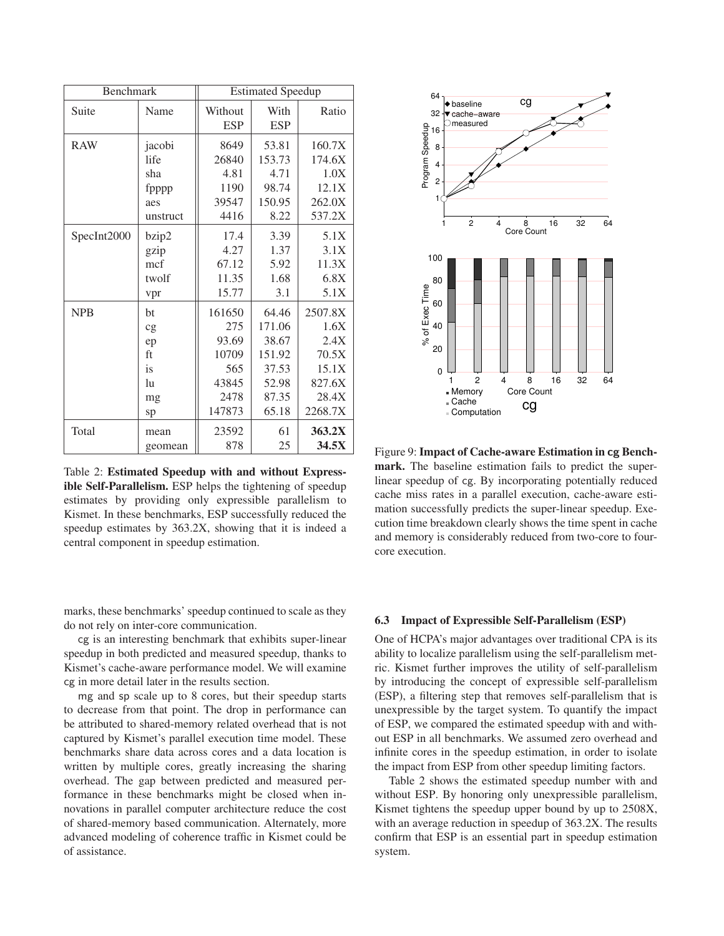| Benchmark   |          | <b>Estimated Speedup</b> |                    |         |  |
|-------------|----------|--------------------------|--------------------|---------|--|
| Suite       | Name     | Without<br><b>ESP</b>    | With<br><b>ESP</b> | Ratio   |  |
| <b>RAW</b>  | jacobi   | 8649                     | 53.81              | 160.7X  |  |
|             | life     | 26840                    | 153.73             | 174.6X  |  |
|             | sha      | 4.81                     | 4.71               | 1.0X    |  |
|             | fpppp    | 1190                     | 98.74              | 12.1X   |  |
|             | aes      | 39547                    | 150.95             | 262.0X  |  |
|             | unstruct | 4416                     | 8.22               | 537.2X  |  |
| SpecInt2000 | bzip2    | 17.4                     | 3.39               | 5.1X    |  |
|             | gzip     | 4.27                     | 1.37               | 3.1X    |  |
|             | mcf      | 67.12                    | 5.92               | 11.3X   |  |
|             | twolf    | 11.35                    | 1.68               | 6.8X    |  |
|             | vpr      | 15.77                    | 3.1                | 5.1X    |  |
| <b>NPB</b>  | bt       | 161650                   | 64.46              | 2507.8X |  |
|             | cg       | 275                      | 171.06             | 1.6X    |  |
|             | ep       | 93.69                    | 38.67              | 2.4X    |  |
|             | ft       | 10709                    | 151.92             | 70.5X   |  |
|             | is       | 565                      | 37.53              | 15.1X   |  |
|             | lu       | 43845                    | 52.98              | 827.6X  |  |
|             | mg       | 2478                     | 87.35              | 28.4X   |  |
|             | sp       | 147873                   | 65.18              | 2268.7X |  |
| Total       | mean     | 23592                    | 61                 | 363.2X  |  |
|             | geomean  | 878                      | 25                 | 34.5X   |  |

Table 2: **Estimated Speedup with and without Expressible Self-Parallelism.** ESP helps the tightening of speedup estimates by providing only expressible parallelism to Kismet. In these benchmarks, ESP successfully reduced the speedup estimates by 363.2X, showing that it is indeed a central component in speedup estimation.

marks, these benchmarks' speedup continued to scale as they do not rely on inter-core communication.

cg is an interesting benchmark that exhibits super-linear speedup in both predicted and measured speedup, thanks to Kismet's cache-aware performance model. We will examine cg in more detail later in the results section.

mg and sp scale up to 8 cores, but their speedup starts to decrease from that point. The drop in performance can be attributed to shared-memory related overhead that is not captured by Kismet's parallel execution time model. These benchmarks share data across cores and a data location is written by multiple cores, greatly increasing the sharing overhead. The gap between predicted and measured performance in these benchmarks might be closed when innovations in parallel computer architecture reduce the cost of shared-memory based communication. Alternately, more advanced modeling of coherence traffic in Kismet could be of assistance.



Figure 9: **Impact of Cache-aware Estimation in** cg **Benchmark.** The baseline estimation fails to predict the superlinear speedup of cg. By incorporating potentially reduced cache miss rates in a parallel execution, cache-aware estimation successfully predicts the super-linear speedup. Execution time breakdown clearly shows the time spent in cache and memory is considerably reduced from two-core to fourcore execution.

#### **6.3 Impact of Expressible Self-Parallelism (ESP)**

One of HCPA's major advantages over traditional CPA is its ability to localize parallelism using the self-parallelism metric. Kismet further improves the utility of self-parallelism by introducing the concept of expressible self-parallelism (ESP), a filtering step that removes self-parallelism that is unexpressible by the target system. To quantify the impact of ESP, we compared the estimated speedup with and without ESP in all benchmarks. We assumed zero overhead and infinite cores in the speedup estimation, in order to isolate the impact from ESP from other speedup limiting factors.

Table 2 shows the estimated speedup number with and without ESP. By honoring only unexpressible parallelism, Kismet tightens the speedup upper bound by up to 2508X, with an average reduction in speedup of 363.2X. The results confirm that ESP is an essential part in speedup estimation system.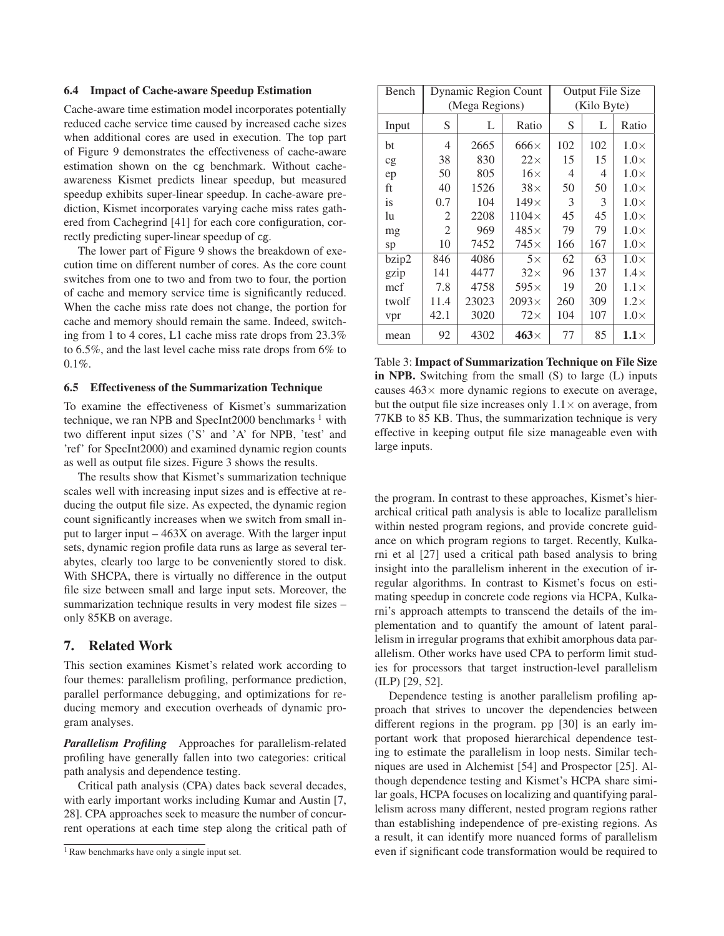#### **6.4 Impact of Cache-aware Speedup Estimation**

Cache-aware time estimation model incorporates potentially reduced cache service time caused by increased cache sizes when additional cores are used in execution. The top part of Figure 9 demonstrates the effectiveness of cache-aware estimation shown on the cg benchmark. Without cacheawareness Kismet predicts linear speedup, but measured speedup exhibits super-linear speedup. In cache-aware prediction, Kismet incorporates varying cache miss rates gathered from Cachegrind [41] for each core configuration, correctly predicting super-linear speedup of cg.

The lower part of Figure 9 shows the breakdown of execution time on different number of cores. As the core count switches from one to two and from two to four, the portion of cache and memory service time is significantly reduced. When the cache miss rate does not change, the portion for cache and memory should remain the same. Indeed, switching from 1 to 4 cores, L1 cache miss rate drops from 23.3% to 6.5%, and the last level cache miss rate drops from 6% to  $0.1\%$ .

#### **6.5 Effectiveness of the Summarization Technique**

To examine the effectiveness of Kismet's summarization technique, we ran NPB and SpecInt2000 benchmarks  $<sup>1</sup>$  with</sup> two different input sizes ('S' and 'A' for NPB, 'test' and 'ref' for SpecInt2000) and examined dynamic region counts as well as output file sizes. Figure 3 shows the results.

The results show that Kismet's summarization technique scales well with increasing input sizes and is effective at reducing the output file size. As expected, the dynamic region count significantly increases when we switch from small input to larger input – 463X on average. With the larger input sets, dynamic region profile data runs as large as several terabytes, clearly too large to be conveniently stored to disk. With SHCPA, there is virtually no difference in the output file size between small and large input sets. Moreover, the summarization technique results in very modest file sizes – only 85KB on average.

# **7. Related Work**

This section examines Kismet's related work according to four themes: parallelism profiling, performance prediction, parallel performance debugging, and optimizations for reducing memory and execution overheads of dynamic program analyses.

*Parallelism Profiling* Approaches for parallelism-related profiling have generally fallen into two categories: critical path analysis and dependence testing.

Critical path analysis (CPA) dates back several decades, with early important works including Kumar and Austin [7, 28]. CPA approaches seek to measure the number of concurrent operations at each time step along the critical path of

| Bench |      | <b>Dynamic Region Count</b> |              | Output File Size |     |             |
|-------|------|-----------------------------|--------------|------------------|-----|-------------|
|       |      | (Mega Regions)              |              | (Kilo Byte)      |     |             |
| Input | S    | L                           | Ratio        | S                | L   | Ratio       |
| bt    | 4    | 2665                        | $666\times$  | 102              | 102 | $1.0\times$ |
| cg    | 38   | 830                         | $22\times$   | 15               | 15  | $1.0\times$ |
| ep    | 50   | 805                         | $16\times$   | 4                | 4   | $1.0\times$ |
| ft    | 40   | 1526                        | $38\times$   | 50               | 50  | $1.0\times$ |
| is    | 0.7  | 104                         | $149\times$  | 3                | 3   | $1.0\times$ |
| lu    | 2    | 2208                        | $1104\times$ | 45               | 45  | $1.0\times$ |
| mg    | 2    | 969                         | $485\times$  | 79               | 79  | $1.0\times$ |
| sp    | 10   | 7452                        | $745\times$  | 166              | 167 | $1.0\times$ |
| bzip2 | 846  | 4086                        | $5\times$    | 62               | 63  | $1.0\times$ |
| gzip  | 141  | 4477                        | $32\times$   | 96               | 137 | $1.4\times$ |
| mcf   | 7.8  | 4758                        | $595\times$  | 19               | 20  | $1.1\times$ |
| twolf | 11.4 | 23023                       | $2093\times$ | 260              | 309 | $1.2\times$ |
| vpr   | 42.1 | 3020                        | $72\times$   | 104              | 107 | $1.0\times$ |
| mean  | 92   | 4302                        | $463\times$  | 77               | 85  | $1.1\times$ |

Table 3: **Impact of Summarization Technique on File Size in NPB.** Switching from the small (S) to large (L) inputs causes  $463 \times$  more dynamic regions to execute on average, but the output file size increases only  $1.1 \times$  on average, from 77KB to 85 KB. Thus, the summarization technique is very effective in keeping output file size manageable even with large inputs.

the program. In contrast to these approaches, Kismet's hierarchical critical path analysis is able to localize parallelism within nested program regions, and provide concrete guidance on which program regions to target. Recently, Kulkarni et al [27] used a critical path based analysis to bring insight into the parallelism inherent in the execution of irregular algorithms. In contrast to Kismet's focus on estimating speedup in concrete code regions via HCPA, Kulkarni's approach attempts to transcend the details of the implementation and to quantify the amount of latent parallelism in irregular programs that exhibit amorphous data parallelism. Other works have used CPA to perform limit studies for processors that target instruction-level parallelism (ILP) [29, 52].

Dependence testing is another parallelism profiling approach that strives to uncover the dependencies between different regions in the program. pp [30] is an early important work that proposed hierarchical dependence testing to estimate the parallelism in loop nests. Similar techniques are used in Alchemist [54] and Prospector [25]. Although dependence testing and Kismet's HCPA share similar goals, HCPA focuses on localizing and quantifying parallelism across many different, nested program regions rather than establishing independence of pre-existing regions. As a result, it can identify more nuanced forms of parallelism even if significant code transformation would be required to

<sup>1</sup> Raw benchmarks have only a single input set.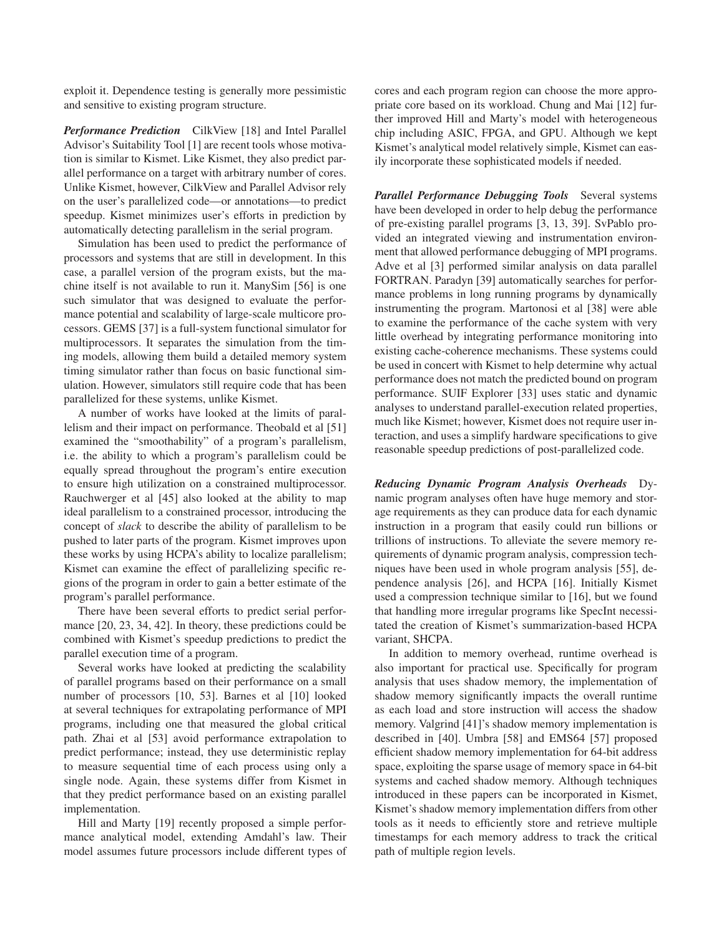exploit it. Dependence testing is generally more pessimistic and sensitive to existing program structure.

*Performance Prediction* CilkView [18] and Intel Parallel Advisor's Suitability Tool [1] are recent tools whose motivation is similar to Kismet. Like Kismet, they also predict parallel performance on a target with arbitrary number of cores. Unlike Kismet, however, CilkView and Parallel Advisor rely on the user's parallelized code—or annotations—to predict speedup. Kismet minimizes user's efforts in prediction by automatically detecting parallelism in the serial program.

Simulation has been used to predict the performance of processors and systems that are still in development. In this case, a parallel version of the program exists, but the machine itself is not available to run it. ManySim [56] is one such simulator that was designed to evaluate the performance potential and scalability of large-scale multicore processors. GEMS [37] is a full-system functional simulator for multiprocessors. It separates the simulation from the timing models, allowing them build a detailed memory system timing simulator rather than focus on basic functional simulation. However, simulators still require code that has been parallelized for these systems, unlike Kismet.

A number of works have looked at the limits of parallelism and their impact on performance. Theobald et al [51] examined the "smoothability" of a program's parallelism, i.e. the ability to which a program's parallelism could be equally spread throughout the program's entire execution to ensure high utilization on a constrained multiprocessor. Rauchwerger et al [45] also looked at the ability to map ideal parallelism to a constrained processor, introducing the concept of *slack* to describe the ability of parallelism to be pushed to later parts of the program. Kismet improves upon these works by using HCPA's ability to localize parallelism; Kismet can examine the effect of parallelizing specific regions of the program in order to gain a better estimate of the program's parallel performance.

There have been several efforts to predict serial performance [20, 23, 34, 42]. In theory, these predictions could be combined with Kismet's speedup predictions to predict the parallel execution time of a program.

Several works have looked at predicting the scalability of parallel programs based on their performance on a small number of processors [10, 53]. Barnes et al [10] looked at several techniques for extrapolating performance of MPI programs, including one that measured the global critical path. Zhai et al [53] avoid performance extrapolation to predict performance; instead, they use deterministic replay to measure sequential time of each process using only a single node. Again, these systems differ from Kismet in that they predict performance based on an existing parallel implementation.

Hill and Marty [19] recently proposed a simple performance analytical model, extending Amdahl's law. Their model assumes future processors include different types of cores and each program region can choose the more appropriate core based on its workload. Chung and Mai [12] further improved Hill and Marty's model with heterogeneous chip including ASIC, FPGA, and GPU. Although we kept Kismet's analytical model relatively simple, Kismet can easily incorporate these sophisticated models if needed.

*Parallel Performance Debugging Tools* Several systems have been developed in order to help debug the performance of pre-existing parallel programs [3, 13, 39]. SvPablo provided an integrated viewing and instrumentation environment that allowed performance debugging of MPI programs. Adve et al [3] performed similar analysis on data parallel FORTRAN. Paradyn [39] automatically searches for performance problems in long running programs by dynamically instrumenting the program. Martonosi et al [38] were able to examine the performance of the cache system with very little overhead by integrating performance monitoring into existing cache-coherence mechanisms. These systems could be used in concert with Kismet to help determine why actual performance does not match the predicted bound on program performance. SUIF Explorer [33] uses static and dynamic analyses to understand parallel-execution related properties, much like Kismet; however, Kismet does not require user interaction, and uses a simplify hardware specifications to give reasonable speedup predictions of post-parallelized code.

*Reducing Dynamic Program Analysis Overheads* Dynamic program analyses often have huge memory and storage requirements as they can produce data for each dynamic instruction in a program that easily could run billions or trillions of instructions. To alleviate the severe memory requirements of dynamic program analysis, compression techniques have been used in whole program analysis [55], dependence analysis [26], and HCPA [16]. Initially Kismet used a compression technique similar to [16], but we found that handling more irregular programs like SpecInt necessitated the creation of Kismet's summarization-based HCPA variant, SHCPA.

In addition to memory overhead, runtime overhead is also important for practical use. Specifically for program analysis that uses shadow memory, the implementation of shadow memory significantly impacts the overall runtime as each load and store instruction will access the shadow memory. Valgrind [41]'s shadow memory implementation is described in [40]. Umbra [58] and EMS64 [57] proposed efficient shadow memory implementation for 64-bit address space, exploiting the sparse usage of memory space in 64-bit systems and cached shadow memory. Although techniques introduced in these papers can be incorporated in Kismet, Kismet's shadow memory implementation differs from other tools as it needs to efficiently store and retrieve multiple timestamps for each memory address to track the critical path of multiple region levels.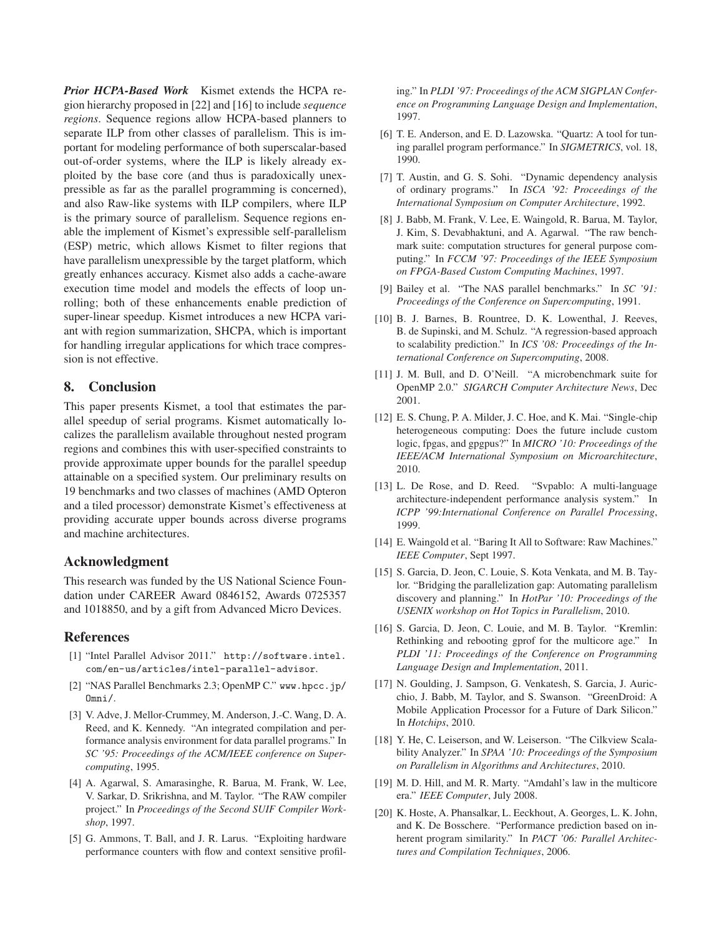*Prior HCPA-Based Work* Kismet extends the HCPA region hierarchy proposed in [22] and [16] to include *sequence regions*. Sequence regions allow HCPA-based planners to separate ILP from other classes of parallelism. This is important for modeling performance of both superscalar-based out-of-order systems, where the ILP is likely already exploited by the base core (and thus is paradoxically unexpressible as far as the parallel programming is concerned), and also Raw-like systems with ILP compilers, where ILP is the primary source of parallelism. Sequence regions enable the implement of Kismet's expressible self-parallelism (ESP) metric, which allows Kismet to filter regions that have parallelism unexpressible by the target platform, which greatly enhances accuracy. Kismet also adds a cache-aware execution time model and models the effects of loop unrolling; both of these enhancements enable prediction of super-linear speedup. Kismet introduces a new HCPA variant with region summarization, SHCPA, which is important for handling irregular applications for which trace compression is not effective.

# **8. Conclusion**

This paper presents Kismet, a tool that estimates the parallel speedup of serial programs. Kismet automatically localizes the parallelism available throughout nested program regions and combines this with user-specified constraints to provide approximate upper bounds for the parallel speedup attainable on a specified system. Our preliminary results on 19 benchmarks and two classes of machines (AMD Opteron and a tiled processor) demonstrate Kismet's effectiveness at providing accurate upper bounds across diverse programs and machine architectures.

# **Acknowledgment**

This research was funded by the US National Science Foundation under CAREER Award 0846152, Awards 0725357 and 1018850, and by a gift from Advanced Micro Devices.

# **References**

- [1] "Intel Parallel Advisor 2011." http://software.intel. com/en-us/articles/intel-parallel-advisor.
- [2] "NAS Parallel Benchmarks 2.3; OpenMP C." www.hpcc.jp/ Omni/.
- [3] V. Adve, J. Mellor-Crummey, M. Anderson, J.-C. Wang, D. A. Reed, and K. Kennedy. "An integrated compilation and performance analysis environment for data parallel programs." In *SC '95: Proceedings of the ACM/IEEE conference on Supercomputing*, 1995.
- [4] A. Agarwal, S. Amarasinghe, R. Barua, M. Frank, W. Lee, V. Sarkar, D. Srikrishna, and M. Taylor. "The RAW compiler project." In *Proceedings of the Second SUIF Compiler Workshop*, 1997.
- [5] G. Ammons, T. Ball, and J. R. Larus. "Exploiting hardware performance counters with flow and context sensitive profil-

ing." In *PLDI '97: Proceedings of the ACM SIGPLAN Conference on Programming Language Design and Implementation*, 1997.

- [6] T. E. Anderson, and E. D. Lazowska. "Quartz: A tool for tuning parallel program performance." In *SIGMETRICS*, vol. 18, 1990.
- [7] T. Austin, and G. S. Sohi. "Dynamic dependency analysis of ordinary programs." In *ISCA '92: Proceedings of the International Symposium on Computer Architecture*, 1992.
- [8] J. Babb, M. Frank, V. Lee, E. Waingold, R. Barua, M. Taylor, J. Kim, S. Devabhaktuni, and A. Agarwal. "The raw benchmark suite: computation structures for general purpose computing." In *FCCM '97: Proceedings of the IEEE Symposium on FPGA-Based Custom Computing Machines*, 1997.
- [9] Bailey et al. "The NAS parallel benchmarks." In *SC '91: Proceedings of the Conference on Supercomputing*, 1991.
- [10] B. J. Barnes, B. Rountree, D. K. Lowenthal, J. Reeves, B. de Supinski, and M. Schulz. "A regression-based approach to scalability prediction." In *ICS '08: Proceedings of the International Conference on Supercomputing*, 2008.
- [11] J. M. Bull, and D. O'Neill. "A microbenchmark suite for OpenMP 2.0." *SIGARCH Computer Architecture News*, Dec 2001.
- [12] E. S. Chung, P. A. Milder, J. C. Hoe, and K. Mai. "Single-chip" heterogeneous computing: Does the future include custom logic, fpgas, and gpgpus?" In *MICRO '10: Proceedings of the IEEE/ACM International Symposium on Microarchitecture*, 2010.
- [13] L. De Rose, and D. Reed. "Svpablo: A multi-language architecture-independent performance analysis system." In *ICPP '99:International Conference on Parallel Processing*, 1999.
- [14] E. Waingold et al. "Baring It All to Software: Raw Machines." *IEEE Computer*, Sept 1997.
- [15] S. Garcia, D. Jeon, C. Louie, S. Kota Venkata, and M. B. Taylor. "Bridging the parallelization gap: Automating parallelism discovery and planning." In *HotPar '10: Proceedings of the USENIX workshop on Hot Topics in Parallelism*, 2010.
- [16] S. Garcia, D. Jeon, C. Louie, and M. B. Taylor. "Kremlin: Rethinking and rebooting gprof for the multicore age." In *PLDI '11: Proceedings of the Conference on Programming Language Design and Implementation*, 2011.
- [17] N. Goulding, J. Sampson, G. Venkatesh, S. Garcia, J. Auricchio, J. Babb, M. Taylor, and S. Swanson. "GreenDroid: A Mobile Application Processor for a Future of Dark Silicon." In *Hotchips*, 2010.
- [18] Y. He, C. Leiserson, and W. Leiserson. "The Cilkview Scalability Analyzer." In *SPAA '10: Proceedings of the Symposium on Parallelism in Algorithms and Architectures*, 2010.
- [19] M. D. Hill, and M. R. Marty. "Amdahl's law in the multicore era." *IEEE Computer*, July 2008.
- [20] K. Hoste, A. Phansalkar, L. Eeckhout, A. Georges, L. K. John, and K. De Bosschere. "Performance prediction based on inherent program similarity." In *PACT '06: Parallel Architectures and Compilation Techniques*, 2006.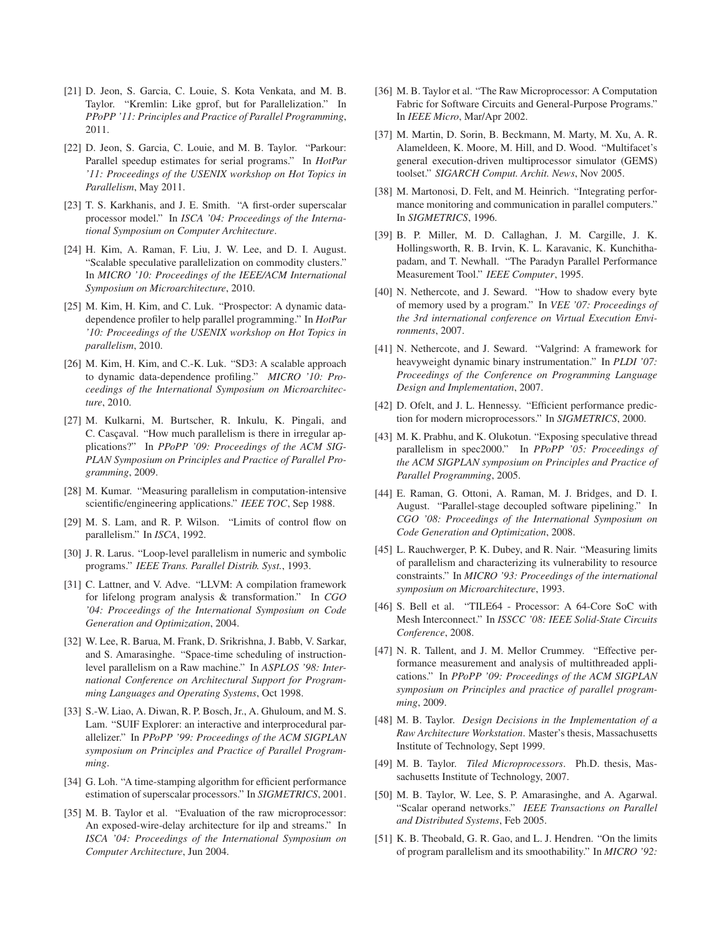- [21] D. Jeon, S. Garcia, C. Louie, S. Kota Venkata, and M. B. Taylor. "Kremlin: Like gprof, but for Parallelization." In *PPoPP '11: Principles and Practice of Parallel Programming*, 2011.
- [22] D. Jeon, S. Garcia, C. Louie, and M. B. Taylor. "Parkour: Parallel speedup estimates for serial programs." In *HotPar '11: Proceedings of the USENIX workshop on Hot Topics in Parallelism*, May 2011.
- [23] T. S. Karkhanis, and J. E. Smith. "A first-order superscalar processor model." In *ISCA '04: Proceedings of the International Symposium on Computer Architecture*.
- [24] H. Kim, A. Raman, F. Liu, J. W. Lee, and D. I. August. "Scalable speculative parallelization on commodity clusters." In *MICRO '10: Proceedings of the IEEE/ACM International Symposium on Microarchitecture*, 2010.
- [25] M. Kim, H. Kim, and C. Luk. "Prospector: A dynamic datadependence profiler to help parallel programming." In *HotPar '10: Proceedings of the USENIX workshop on Hot Topics in parallelism*, 2010.
- [26] M. Kim, H. Kim, and C.-K. Luk. "SD3: A scalable approach to dynamic data-dependence profiling." *MICRO '10: Proceedings of the International Symposium on Microarchitecture*, 2010.
- [27] M. Kulkarni, M. Burtscher, R. Inkulu, K. Pingali, and C. Cascaval. "How much parallelism is there in irregular applications?" In *PPoPP '09: Proceedings of the ACM SIG-PLAN Symposium on Principles and Practice of Parallel Programming*, 2009.
- [28] M. Kumar. "Measuring parallelism in computation-intensive scientific/engineering applications." *IEEE TOC*, Sep 1988.
- [29] M. S. Lam, and R. P. Wilson. "Limits of control flow on parallelism." In *ISCA*, 1992.
- [30] J. R. Larus. "Loop-level parallelism in numeric and symbolic programs." *IEEE Trans. Parallel Distrib. Syst.*, 1993.
- [31] C. Lattner, and V. Adve. "LLVM: A compilation framework for lifelong program analysis & transformation." In *CGO '04: Proceedings of the International Symposium on Code Generation and Optimization*, 2004.
- [32] W. Lee, R. Barua, M. Frank, D. Srikrishna, J. Babb, V. Sarkar, and S. Amarasinghe. "Space-time scheduling of instructionlevel parallelism on a Raw machine." In *ASPLOS '98: International Conference on Architectural Support for Programming Languages and Operating Systems*, Oct 1998.
- [33] S.-W. Liao, A. Diwan, R. P. Bosch, Jr., A. Ghuloum, and M. S. Lam. "SUIF Explorer: an interactive and interprocedural parallelizer." In *PPoPP '99: Proceedings of the ACM SIGPLAN symposium on Principles and Practice of Parallel Programming*.
- [34] G. Loh. "A time-stamping algorithm for efficient performance estimation of superscalar processors." In *SIGMETRICS*, 2001.
- [35] M. B. Taylor et al. "Evaluation of the raw microprocessor: An exposed-wire-delay architecture for ilp and streams." In *ISCA '04: Proceedings of the International Symposium on Computer Architecture*, Jun 2004.
- [36] M. B. Taylor et al. "The Raw Microprocessor: A Computation Fabric for Software Circuits and General-Purpose Programs." In *IEEE Micro*, Mar/Apr 2002.
- [37] M. Martin, D. Sorin, B. Beckmann, M. Marty, M. Xu, A. R. Alameldeen, K. Moore, M. Hill, and D. Wood. "Multifacet's general execution-driven multiprocessor simulator (GEMS) toolset." *SIGARCH Comput. Archit. News*, Nov 2005.
- [38] M. Martonosi, D. Felt, and M. Heinrich. "Integrating performance monitoring and communication in parallel computers." In *SIGMETRICS*, 1996.
- [39] B. P. Miller, M. D. Callaghan, J. M. Cargille, J. K. Hollingsworth, R. B. Irvin, K. L. Karavanic, K. Kunchithapadam, and T. Newhall. "The Paradyn Parallel Performance Measurement Tool." *IEEE Computer*, 1995.
- [40] N. Nethercote, and J. Seward. "How to shadow every byte of memory used by a program." In *VEE '07: Proceedings of the 3rd international conference on Virtual Execution Environments*, 2007.
- [41] N. Nethercote, and J. Seward. "Valgrind: A framework for heavyweight dynamic binary instrumentation." In *PLDI '07: Proceedings of the Conference on Programming Language Design and Implementation*, 2007.
- [42] D. Ofelt, and J. L. Hennessy. "Efficient performance prediction for modern microprocessors." In *SIGMETRICS*, 2000.
- [43] M. K. Prabhu, and K. Olukotun. "Exposing speculative thread parallelism in spec2000." In *PPoPP '05: Proceedings of the ACM SIGPLAN symposium on Principles and Practice of Parallel Programming*, 2005.
- [44] E. Raman, G. Ottoni, A. Raman, M. J. Bridges, and D. I. August. "Parallel-stage decoupled software pipelining." In *CGO '08: Proceedings of the International Symposium on Code Generation and Optimization*, 2008.
- [45] L. Rauchwerger, P. K. Dubey, and R. Nair. "Measuring limits of parallelism and characterizing its vulnerability to resource constraints." In *MICRO '93: Proceedings of the international symposium on Microarchitecture*, 1993.
- [46] S. Bell et al. "TILE64 Processor: A 64-Core SoC with Mesh Interconnect." In *ISSCC '08: IEEE Solid-State Circuits Conference*, 2008.
- [47] N. R. Tallent, and J. M. Mellor Crummey. "Effective performance measurement and analysis of multithreaded applications." In *PPoPP '09: Proceedings of the ACM SIGPLAN symposium on Principles and practice of parallel programming*, 2009.
- [48] M. B. Taylor. *Design Decisions in the Implementation of a Raw Architecture Workstation*. Master's thesis, Massachusetts Institute of Technology, Sept 1999.
- [49] M. B. Taylor. *Tiled Microprocessors*. Ph.D. thesis, Massachusetts Institute of Technology, 2007.
- [50] M. B. Taylor, W. Lee, S. P. Amarasinghe, and A. Agarwal. "Scalar operand networks." *IEEE Transactions on Parallel and Distributed Systems*, Feb 2005.
- [51] K. B. Theobald, G. R. Gao, and L. J. Hendren. "On the limits of program parallelism and its smoothability." In *MICRO '92:*